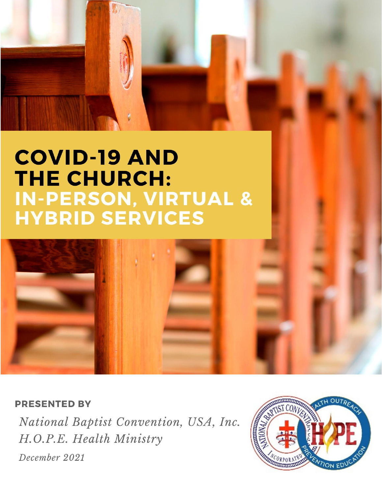# **COVID-19 AND THE CHURCH: IN-PERSON, VIRTUAL & HYBRID SERVICES**

# **PRESENTED BY**

National Baptist Convention, USA, Inc. H.O.P.E. Health Ministry December 2021

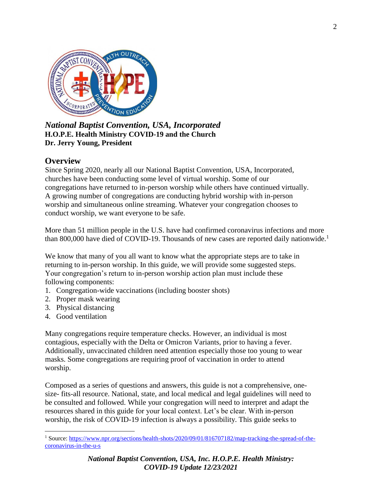

## *National Baptist Convention, USA, Incorporated* **H.O.P.E. Health Ministry COVID-19 and the Church Dr. Jerry Young, President**

# **Overview**

Since Spring 2020, nearly all our National Baptist Convention, USA, Incorporated, churches have been conducting some level of virtual worship. Some of our congregations have returned to in-person worship while others have continued virtually. A growing number of congregations are conducting hybrid worship with in-person worship and simultaneous online streaming. Whatever your congregation chooses to conduct worship, we want everyone to be safe.

More than 51 million people in the U.S. have had confirmed coronavirus infections and more than 800,000 have died of COVID-19. Thousands of new cases are reported daily nationwide.<sup>1</sup>

We know that many of you all want to know what the appropriate steps are to take in returning to in-person worship. In this guide, we will provide some suggested steps. Your congregation's return to in-person worship action plan must include these following components:

- 1. Congregation-wide vaccinations (including booster shots)
- 2. Proper mask wearing
- 3. Physical distancing
- 4. Good ventilation

 $\overline{a}$ 

Many congregations require temperature checks. However, an individual is most contagious, especially with the Delta or Omicron Variants, prior to having a fever. Additionally, unvaccinated children need attention especially those too young to wear masks. Some congregations are requiring proof of vaccination in order to attend worship.

Composed as a series of questions and answers, this guide is not a comprehensive, onesize- fits-all resource. National, state, and local medical and legal guidelines will need to be consulted and followed. While your congregation will need to interpret and adapt the resources shared in this guide for your local context. Let's be clear. With in-person worship, the risk of COVID-19 infection is always a possibility. This guide seeks to

<sup>1</sup> Source: [https://www.npr.org/sections/health-shots/2020/09/01/816707182/map-tracking-the-spread-of-the](https://www.npr.org/sections/health-shots/2020/09/01/816707182/map-tracking-the-spread-of-the-coronavirus-in-the-u-s)[coronavirus-in-the-u-s](https://www.npr.org/sections/health-shots/2020/09/01/816707182/map-tracking-the-spread-of-the-coronavirus-in-the-u-s)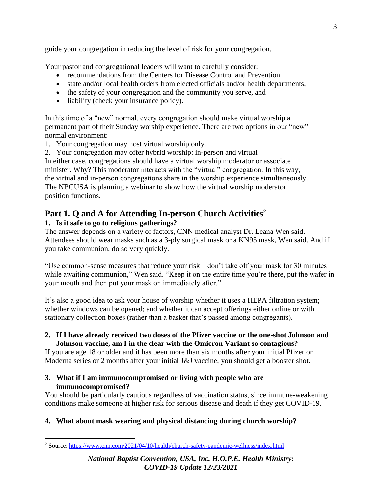guide your congregation in reducing the level of risk for your congregation.

Your pastor and congregational leaders will want to carefully consider:

- recommendations from the Centers for Disease Control and Prevention
- state and/or local health orders from elected officials and/or health departments,
- the safety of your congregation and the community you serve, and
- liability (check your insurance policy).

In this time of a "new" normal, every congregation should make virtual worship a permanent part of their Sunday worship experience. There are two options in our "new" normal environment:

- 1. Your congregation may host virtual worship only.
- 2. Your congregation may offer hybrid worship: in-person and virtual

In either case, congregations should have a virtual worship moderator or associate minister. Why? This moderator interacts with the "virtual" congregation. In this way, the virtual and in-person congregations share in the worship experience simultaneously. The NBCUSA is planning a webinar to show how the virtual worship moderator position functions.

# **Part 1. Q and A for Attending In-person Church Activities<sup>2</sup>**

## **1. Is it safe to go to religious gatherings?**

 $\overline{a}$ 

The answer depends on a variety of factors, CNN medical analyst Dr. Leana Wen said. Attendees should wear masks such as a 3-ply surgical mask or a KN95 mask, Wen said. And if you take communion, do so very quickly.

"Use common-sense measures that reduce your risk – don't take off your mask for 30 minutes while awaiting communion," Wen said. "Keep it on the entire time you're there, put the wafer in your mouth and then put your mask on immediately after."

It's also a good idea to ask your house of worship whether it uses a HEPA filtration system; whether windows can be opened; and whether it can accept offerings either online or with stationary collection boxes (rather than a basket that's passed among congregants).

#### **2. If I have already received two doses of the Pfizer vaccine or the one-shot Johnson and Johnson vaccine, am I in the clear with the Omicron Variant so contagious?**

If you are age 18 or older and it has been more than six months after your initial Pfizer or Moderna series or 2 months after your initial J&J vaccine, you should get a booster shot.

#### **3. What if I am immunocompromised or living with people who are immunocompromised?**

You should be particularly cautious regardless of vaccination status, since immune-weakening conditions make someone at higher risk for serious disease and death if they get COVID-19.

## **4. What about mask wearing and physical distancing during church worship?**

<sup>2</sup> Source:<https://www.cnn.com/2021/04/10/health/church-safety-pandemic-wellness/index.html>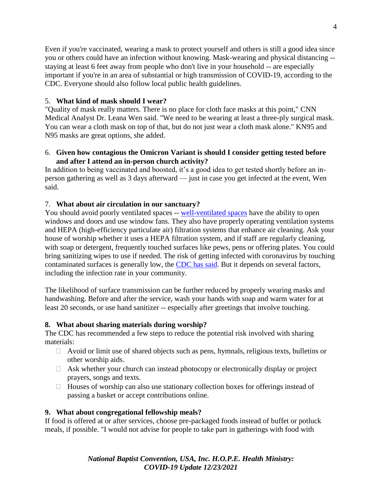Even if you're vaccinated, wearing a mask to protect yourself and others is still a good idea since you or others could have an infection without knowing. Mask-wearing and physical distancing - staying at least 6 feet away from people who don't live in your household -- are especially important if you're in an area of substantial or high transmission of COVID-19, according to the CDC. Everyone should also follow local public health guidelines.

#### 5. **What kind of mask should I wear?**

"Quality of mask really matters. There is no place for cloth face masks at this point," CNN Medical Analyst Dr. Leana Wen said. "We need to be wearing at least a three-ply surgical mask. You can wear a cloth mask on top of that, but do not just wear a cloth mask alone." KN95 and N95 masks are great options, she added.

#### 6. **Given how contagious the Omicron Variant is should I consider getting tested before and after I attend an in-person church activity?**

In addition to being vaccinated and boosted, it's a good idea to get tested shortly before an inperson gathering as well as 3 days afterward — just in case you get infected at the event, Wen said.

## 7. **What about air circulation in our sanctuary?**

You should avoid poorly ventilated spaces -- [well-ventilated spaces](https://www.cdc.gov/coronavirus/2019-ncov/community/ventilation.html) have the ability to open windows and doors and use window fans. They also have properly operating ventilation systems and HEPA (high-efficiency particulate air) filtration systems that enhance air cleaning. Ask your house of worship whether it uses a HEPA filtration system, and if staff are regularly cleaning, with soap or detergent, frequently touched surfaces like pews, pens or offering plates. You could bring sanitizing wipes to use if needed. The risk of getting infected with coronavirus by touching contaminated surfaces is generally low, the [CDC has said.](https://www.cdc.gov/coronavirus/2019-ncov/more/science-and-research/surface-transmission.html) But it depends on several factors, including the infection rate in your community.

The likelihood of surface transmission can be further reduced by properly wearing masks and handwashing. Before and after the service, wash your hands with soap and warm water for at least 20 seconds, or use hand sanitizer -- especially after greetings that involve touching.

## **8. What about sharing materials during worship?**

The CDC has recommended a few steps to reduce the potential risk involved with sharing materials:

- $\Box$  Avoid or limit use of shared objects such as pens, hymnals, religious texts, bulletins or other worship aids.
- $\Box$  Ask whether your church can instead photocopy or electronically display or project prayers, songs and texts.
- $\Box$  Houses of worship can also use stationary collection boxes for offerings instead of passing a basket or accept contributions online.

#### **9. What about congregational fellowship meals?**

If food is offered at or after services, choose pre-packaged foods instead of buffet or potluck meals, if possible. "I would not advise for people to take part in gatherings with food with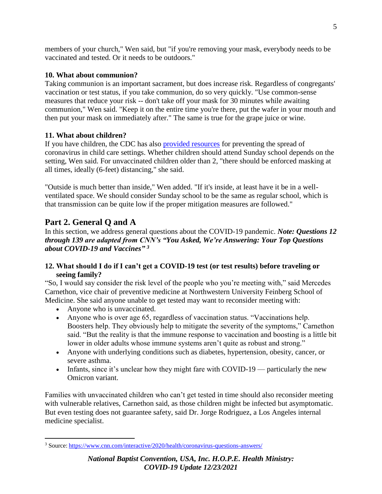members of your church," Wen said, but "if you're removing your mask, everybody needs to be vaccinated and tested. Or it needs to be outdoors."

## **10. What about communion?**

Taking communion is an important sacrament, but does increase risk. Regardless of congregants' vaccination or test status, if you take communion, do so very quickly. "Use common-sense measures that reduce your risk -- don't take off your mask for 30 minutes while awaiting communion," Wen said. "Keep it on the entire time you're there, put the wafer in your mouth and then put your mask on immediately after." The same is true for the grape juice or wine.

## **11. What about children?**

If you have children, the CDC has also [provided resources](https://www.cdc.gov/coronavirus/2019-ncov/community/schools-childcare/guidance-for-childcare.html) for preventing the spread of coronavirus in child care settings. Whether children should attend Sunday school depends on the setting, Wen said. For unvaccinated children older than 2, "there should be enforced masking at all times, ideally (6-feet) distancing," she said.

"Outside is much better than inside," Wen added. "If it's inside, at least have it be in a wellventilated space. We should consider Sunday school to be the same as regular school, which is that transmission can be quite low if the proper mitigation measures are followed."

# **Part 2. General Q and A**

In this section, we address general questions about the COVID-19 pandemic. *Note: Questions 12 through 139 are adapted from CNN's "You Asked, We're Answering: Your Top Questions about COVID-19 and Vaccines" <sup>3</sup>*

**12. What should I do if I can't get a COVID-19 test (or test results) before traveling or seeing family?**

"So, I would say consider the risk level of the people who you're meeting with," said Mercedes Carnethon, vice chair of preventive medicine at Northwestern University Feinberg School of Medicine. She said anyone unable to get tested may want to reconsider meeting with:

Anyone who is unvaccinated.

 $\overline{a}$ 

- Anyone who is over age 65, regardless of vaccination status. "Vaccinations help. Boosters help. They obviously help to mitigate the severity of the symptoms," Carnethon said. "But the reality is that the immune response to vaccination and boosting is a little bit lower in older adults whose immune systems aren't quite as robust and strong."
- Anyone with underlying conditions such as diabetes, hypertension, obesity, cancer, or severe asthma.
- Infants, since it's unclear how they might fare with COVID-19 particularly the new Omicron variant.

Families with unvaccinated children who can't get tested in time should also reconsider meeting with vulnerable relatives, Carnethon said, as those children might be infected but asymptomatic. But even testing does not guarantee safety, said Dr. Jorge Rodriguez, a Los Angeles internal medicine specialist.

<sup>3</sup> Source: <https://www.cnn.com/interactive/2020/health/coronavirus-questions-answers/>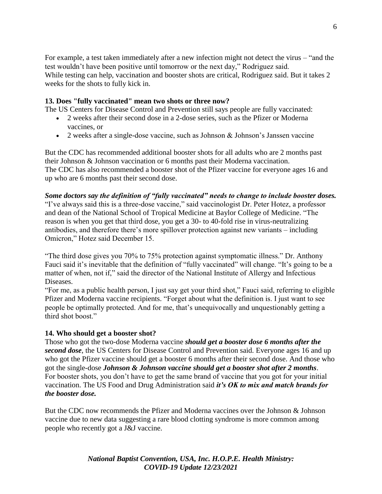For example, a test taken immediately after a new infection might not detect the virus – "and the test wouldn't have been positive until tomorrow or the next day," Rodriguez said. While testing can help, vaccination and booster shots are critical, Rodriguez said. But it takes 2 weeks for the shots to fully kick in.

#### **13. Does "fully vaccinated" mean two shots or three now?**

The US Centers for Disease Control and Prevention still says people are fully vaccinated:

- 2 weeks after their second dose in a 2-dose series, such as the Pfizer or Moderna vaccines, or
- $\bullet$  2 weeks after a single-dose vaccine, such as Johnson & Johnson's Janssen vaccine

But the CDC has recommended additional booster shots for all adults who are 2 months past their Johnson & Johnson vaccination or 6 months past their Moderna vaccination. The CDC has also recommended a booster shot of the Pfizer vaccine for everyone ages 16 and up who are 6 months past their second dose.

*Some doctors say the definition of "fully vaccinated" needs to change to include booster doses.* "I've always said this is a three-dose vaccine," said vaccinologist Dr. Peter Hotez, a professor and dean of the National School of Tropical Medicine at Baylor College of Medicine. "The reason is when you get that third dose, you get a 30- to 40-fold rise in virus-neutralizing antibodies, and therefore there's more spillover protection against new variants – including Omicron," Hotez said December 15.

"The third dose gives you 70% to 75% protection against symptomatic illness." Dr. Anthony Fauci said it's inevitable that the definition of "fully vaccinated" will change. "It's going to be a matter of when, not if," said the director of the National Institute of Allergy and Infectious Diseases.

"For me, as a public health person, I just say get your third shot," Fauci said, referring to eligible Pfizer and Moderna vaccine recipients. "Forget about what the definition is. I just want to see people be optimally protected. And for me, that's unequivocally and unquestionably getting a third shot boost."

#### **14. Who should get a booster shot?**

Those who got the two-dose Moderna vaccine *should get a booster dose 6 months after the second dose*, the US Centers for Disease Control and Prevention said. Everyone ages 16 and up who got the Pfizer vaccine should get a booster 6 months after their second dose. And those who got the single-dose *Johnson & Johnson vaccine should get a booster shot after 2 months*. For booster shots, you don't have to get the same brand of vaccine that you got for your initial vaccination. The US Food and Drug Administration said *it's OK to mix and match brands for the booster dose.*

But the CDC now recommends the Pfizer and Moderna vaccines over the Johnson & Johnson vaccine due to new data suggesting a rare blood clotting syndrome is more common among people who recently got a J&J vaccine.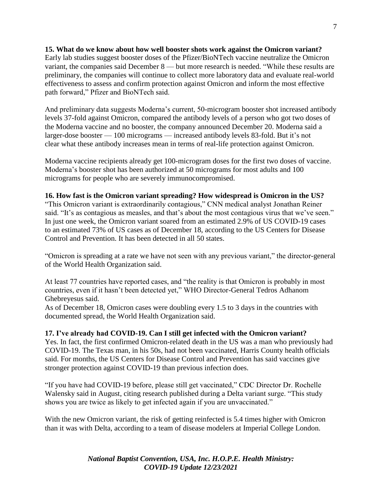#### **15. What do we know about how well booster shots work against the Omicron variant?**

Early lab studies suggest booster doses of the Pfizer/BioNTech vaccine neutralize the Omicron variant, the companies said December 8 — but more research is needed. "While these results are preliminary, the companies will continue to collect more laboratory data and evaluate real-world effectiveness to assess and confirm protection against Omicron and inform the most effective path forward," Pfizer and BioNTech said.

And preliminary data suggests Moderna's current, 50-microgram booster shot increased antibody levels 37-fold against Omicron, compared the antibody levels of a person who got two doses of the Moderna vaccine and no booster, the company announced December 20. Moderna said a larger-dose booster — 100 micrograms — increased antibody levels 83-fold. But it's not clear what these antibody increases mean in terms of real-life protection against Omicron.

Moderna vaccine recipients already get 100-microgram doses for the first two doses of vaccine. Moderna's booster shot has been authorized at 50 micrograms for most adults and 100 micrograms for people who are severely immunocompromised.

#### **16. How fast is the Omicron variant spreading? How widespread is Omicron in the US?**

"This Omicron variant is extraordinarily contagious," CNN medical analyst Jonathan Reiner said. "It's as contagious as measles, and that's about the most contagious virus that we've seen." In just one week, the Omicron variant soared from an estimated 2.9% of US COVID-19 cases to an estimated 73% of US cases as of December 18, according to the US Centers for Disease Control and Prevention. It has been detected in all 50 states.

"Omicron is spreading at a rate we have not seen with any previous variant," the director-general of the World Health Organization said.

At least 77 countries have reported cases, and "the reality is that Omicron is probably in most countries, even if it hasn't been detected yet," WHO Director-General Tedros Adhanom Ghebreyesus said.

As of December 18, Omicron cases were doubling every 1.5 to 3 days in the countries with documented spread, the World Health Organization said.

#### **17. I've already had COVID-19. Can I still get infected with the Omicron variant?**

Yes. In fact, the first confirmed Omicron-related death in the US was a man who previously had COVID-19. The Texas man, in his 50s, had not been vaccinated, Harris County health officials said. For months, the US Centers for Disease Control and Prevention has said vaccines give stronger protection against COVID-19 than previous infection does.

"If you have had COVID-19 before, please still get vaccinated," CDC Director Dr. Rochelle Walensky said in August, citing research published during a Delta variant surge. "This study shows you are twice as likely to get infected again if you are unvaccinated."

With the new Omicron variant, the risk of getting reinfected is 5.4 times higher with Omicron than it was with Delta, according to a team of disease modelers at Imperial College London.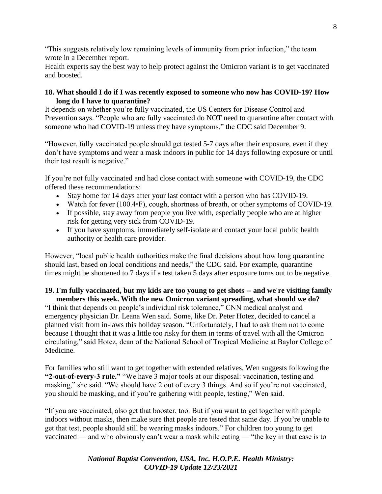"This suggests relatively low remaining levels of immunity from prior infection," the team wrote in a December report.

Health experts say the best way to help protect against the Omicron variant is to get vaccinated and boosted.

#### **18. What should I do if I was recently exposed to someone who now has COVID-19? How long do I have to quarantine?**

It depends on whether you're fully vaccinated, the US Centers for Disease Control and Prevention says. "People who are fully vaccinated do NOT need to quarantine after contact with someone who had COVID-19 unless they have symptoms," the CDC said December 9.

"However, fully vaccinated people should get tested 5-7 days after their exposure, even if they don't have symptoms and wear a mask indoors in public for 14 days following exposure or until their test result is negative."

If you're not fully vaccinated and had close contact with someone with COVID-19, the CDC offered these recommendations:

- Stay home for 14 days after your last contact with a person who has COVID-19.
- Watch for fever (100.4◦F), cough, shortness of breath, or other symptoms of COVID-19.
- If possible, stay away from people you live with, especially people who are at higher risk for getting very sick from COVID-19.
- If you have symptoms, immediately self-isolate and contact your local public health authority or health care provider.

However, "local public health authorities make the final decisions about how long quarantine should last, based on local conditions and needs," the CDC said. For example, quarantine times might be shortened to 7 days if a test taken 5 days after exposure turns out to be negative.

#### **19. I'm fully vaccinated, but my kids are too young to get shots -- and we're visiting family members this week. With the new Omicron variant spreading, what should we do?**

"I think that depends on people's individual risk tolerance," CNN medical analyst and emergency physician Dr. Leana Wen said. Some, like Dr. Peter Hotez, decided to cancel a planned visit from in-laws this holiday season. "Unfortunately, I had to ask them not to come because I thought that it was a little too risky for them in terms of travel with all the Omicron circulating," said Hotez, dean of the National School of Tropical Medicine at Baylor College of Medicine.

For families who still want to get together with extended relatives, Wen suggests following the **"2-out-of-every-3 rule."** "We have 3 major tools at our disposal: vaccination, testing and masking," she said. "We should have 2 out of every 3 things. And so if you're not vaccinated, you should be masking, and if you're gathering with people, testing," Wen said.

"If you are vaccinated, also get that booster, too. But if you want to get together with people indoors without masks, then make sure that people are tested that same day. If you're unable to get that test, people should still be wearing masks indoors." For children too young to get vaccinated — and who obviously can't wear a mask while eating — "the key in that case is to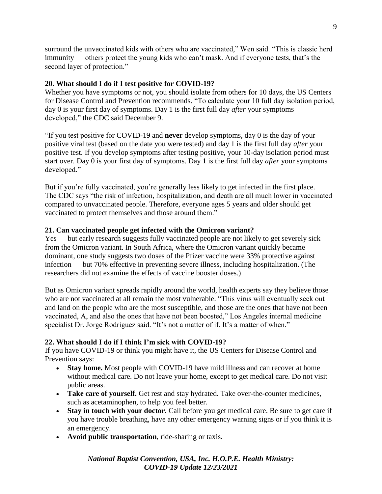surround the unvaccinated kids with others who are vaccinated," Wen said. "This is classic herd immunity — others protect the young kids who can't mask. And if everyone tests, that's the second layer of protection."

#### **20. What should I do if I test positive for COVID-19?**

Whether you have symptoms or not, you should isolate from others for 10 days, the US Centers for Disease Control and Prevention recommends. "To calculate your 10 full day isolation period, day 0 is your first day of symptoms. Day 1 is the first full day *after* your symptoms developed," the CDC said December 9.

"If you test positive for COVID-19 and **never** develop symptoms, day 0 is the day of your positive viral test (based on the date you were tested) and day 1 is the first full day *after* your positive test. If you develop symptoms after testing positive, your 10-day isolation period must start over. Day 0 is your first day of symptoms. Day 1 is the first full day *after* your symptoms developed."

But if you're fully vaccinated, you're generally less likely to get infected in the first place. The CDC says "the risk of infection, hospitalization, and death are all much lower in vaccinated compared to unvaccinated people. Therefore, everyone ages 5 years and older should get vaccinated to protect themselves and those around them."

#### **21. Can vaccinated people get infected with the Omicron variant?**

Yes — but early research suggests fully vaccinated people are not likely to get severely sick from the Omicron variant. In South Africa, where the Omicron variant quickly became dominant, one study suggests two doses of the Pfizer vaccine were 33% protective against infection — but 70% effective in preventing severe illness, including hospitalization. (The researchers did not examine the effects of vaccine booster doses.)

But as Omicron variant spreads rapidly around the world, health experts say they believe those who are not vaccinated at all remain the most vulnerable. "This virus will eventually seek out and land on the people who are the most susceptible, and those are the ones that have not been vaccinated, A, and also the ones that have not been boosted," Los Angeles internal medicine specialist Dr. Jorge Rodriguez said. "It's not a matter of if. It's a matter of when."

#### **22. What should I do if I think I'm sick with COVID-19?**

If you have COVID-19 or think you might have it, the US Centers for Disease Control and Prevention says:

- **Stay home.** Most people with COVID-19 have mild illness and can recover at home without medical care. Do not leave your home, except to get medical care. Do not visit public areas.
- **Take care of yourself.** Get rest and stay hydrated. Take over-the-counter medicines, such as acetaminophen, to help you feel better.
- **Stay in touch with your doctor.** Call before you get medical care. Be sure to get care if you have trouble breathing, have any other emergency warning signs or if you think it is an emergency.
- **Avoid public transportation**, ride-sharing or taxis.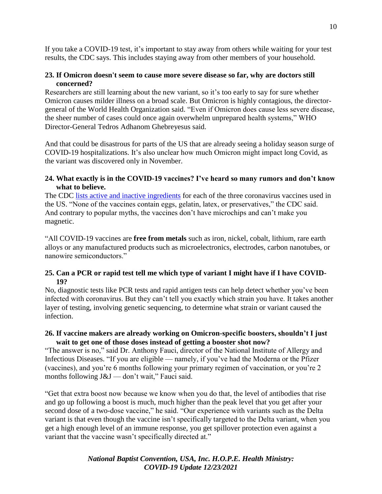If you take a COVID-19 test, it's important to stay away from others while waiting for your test results, the CDC says. This includes staying away from other members of your household.

#### **23. If Omicron doesn't seem to cause more severe disease so far, why are doctors still concerned?**

Researchers are still learning about the new variant, so it's too early to say for sure whether Omicron causes milder illness on a broad scale. But Omicron is highly contagious, the directorgeneral of the World Health Organization said. "Even if Omicron does cause less severe disease, the sheer number of cases could once again overwhelm unprepared health systems," WHO Director-General Tedros Adhanom Ghebreyesus said.

And that could be disastrous for parts of the US that are already seeing a holiday season surge of COVID-19 hospitalizations. It's also unclear how much Omicron might impact long Covid, as the variant was discovered only in November.

#### **24. What exactly is in the COVID-19 vaccines? I've heard so many rumors and don't know what to believe.**

The CDC [lists active and inactive ingredients](https://www.cdc.gov/vaccines/covid-19/clinical-considerations/covid-19-vaccines-us.html?fbclid=IwAR3LiVUTQHkTg41hZrW1_XGZQuRBC_AIXAO0dR80RYYFKeR1NL2AKhMmQ7U#Appendix-C) for each of the three coronavirus vaccines used in the US. "None of the vaccines contain eggs, gelatin, latex, or preservatives," the CDC said. And contrary to popular myths, the vaccines don't have microchips and can't make you magnetic.

"All COVID-19 vaccines are **free from metals** such as iron, nickel, cobalt, lithium, rare earth alloys or any manufactured products such as microelectronics, electrodes, carbon nanotubes, or nanowire semiconductors."

#### **25. Can a PCR or rapid test tell me which type of variant I might have if I have COVID-19?**

No, diagnostic tests like PCR tests and rapid antigen tests can help detect whether you've been infected with coronavirus. But they can't tell you exactly which strain you have. It takes another layer of testing, involving genetic sequencing, to determine what strain or variant caused the infection.

#### **26. If vaccine makers are already working on Omicron-specific boosters, shouldn't I just wait to get one of those doses instead of getting a booster shot now?**

"The answer is no," said Dr. Anthony Fauci, director of the National Institute of Allergy and Infectious Diseases. "If you are eligible — namely, if you've had the Moderna or the Pfizer (vaccines), and you're 6 months following your primary regimen of vaccination, or you're 2 months following J&J — don't wait," Fauci said.

"Get that extra boost now because we know when you do that, the level of antibodies that rise and go up following a boost is much, much higher than the peak level that you get after your second dose of a two-dose vaccine," he said. "Our experience with variants such as the Delta variant is that even though the vaccine isn't specifically targeted to the Delta variant, when you get a high enough level of an immune response, you get spillover protection even against a variant that the vaccine wasn't specifically directed at."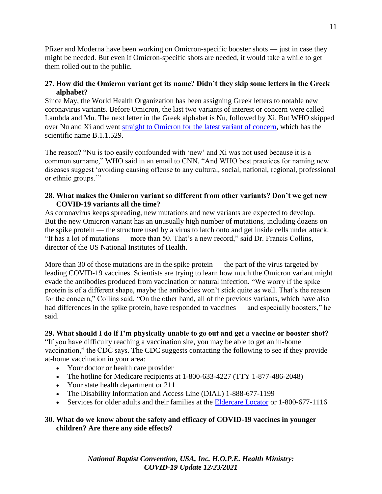Pfizer and Moderna have been working on Omicron-specific booster shots — just in case they might be needed. But even if Omicron-specific shots are needed, it would take a while to get them rolled out to the public.

#### **27. How did the Omicron variant get its name? Didn't they skip some letters in the Greek alphabet?**

Since May, the World Health Organization has been assigning Greek letters to notable new coronavirus variants. Before Omicron, the last two variants of interest or concern were called Lambda and Mu. The next letter in the Greek alphabet is Nu, followed by Xi. But WHO skipped over Nu and Xi and went [straight to Omicron for the latest variant of concern,](https://www.who.int/news/item/26-11-2021-classification-of-omicron-(b.1.1.529)-sars-cov-2-variant-of-concern) which has the scientific name B.1.1.529.

The reason? "Nu is too easily confounded with 'new' and Xi was not used because it is a common surname," WHO said in an email to CNN. "And WHO best practices for naming new diseases suggest 'avoiding causing offense to any cultural, social, national, regional, professional or ethnic groups."

#### **28. What makes the Omicron variant so different from other variants? Don't we get new COVID-19 variants all the time?**

As coronavirus keeps spreading, new mutations and new variants are expected to develop. But the new Omicron variant has an unusually high number of mutations, including dozens on the spike protein — the structure used by a virus to latch onto and get inside cells under attack. "It has a lot of mutations — more than 50. That's a new record," said Dr. Francis Collins, director of the US National Institutes of Health.

More than 30 of those mutations are in the spike protein — the part of the virus targeted by leading COVID-19 vaccines. Scientists are trying to learn how much the Omicron variant might evade the antibodies produced from vaccination or natural infection. "We worry if the spike protein is of a different shape, maybe the antibodies won't stick quite as well. That's the reason for the concern," Collins said. "On the other hand, all of the previous variants, which have also had differences in the spike protein, have responded to vaccines — and especially boosters," he said.

## **29. What should I do if I'm physically unable to go out and get a vaccine or booster shot?**

"If you have difficulty reaching a vaccination site, you may be able to get an in-home vaccination," the CDC says. The CDC suggests contacting the following to see if they provide at-home vaccination in your area:

- Your doctor or health care provider
- The hotline for Medicare recipients at 1-800-633-4227 (TTY 1-877-486-2048)
- Your state health department or 211
- The Disability Information and Access Line (DIAL) 1-888-677-1199
- Services for older adults and their families at the [Eldercare Locator](https://eldercare.acl.gov/Public/Index.aspx) or 1-800-677-1116

#### **30. What do we know about the safety and efficacy of COVID-19 vaccines in younger children? Are there any side effects?**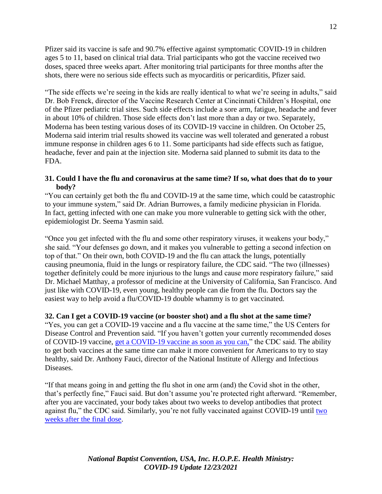Pfizer said its vaccine is safe and 90.7% effective against symptomatic COVID-19 in children ages 5 to 11, based on clinical trial data. Trial participants who got the vaccine received two doses, spaced three weeks apart. After monitoring trial participants for three months after the shots, there were no serious side effects such as myocarditis or pericarditis, Pfizer said.

"The side effects we're seeing in the kids are really identical to what we're seeing in adults," said Dr. Bob Frenck, director of the Vaccine Research Center at Cincinnati Children's Hospital, one of the Pfizer pediatric trial sites. Such side effects include a sore arm, fatigue, headache and fever in about 10% of children. Those side effects don't last more than a day or two. Separately, Moderna has been testing various doses of its COVID-19 vaccine in children. On October 25, Moderna said interim trial results showed its vaccine was well tolerated and generated a robust immune response in children ages 6 to 11. Some participants had side effects such as fatigue, headache, fever and pain at the injection site. Moderna said planned to submit its data to the FDA.

#### **31. Could I have the flu and coronavirus at the same time? If so, what does that do to your body?**

"You can certainly get both the flu and COVID-19 at the same time, which could be catastrophic to your immune system," said Dr. Adrian Burrowes, a family medicine physician in Florida. In fact, getting infected with one can make you more vulnerable to getting sick with the other, epidemiologist Dr. Seema Yasmin said.

"Once you get infected with the flu and some other respiratory viruses, it weakens your body," she said. "Your defenses go down, and it makes you vulnerable to getting a second infection on top of that." On their own, both COVID-19 and the flu can attack the lungs, potentially causing pneumonia, fluid in the lungs or respiratory failure, the CDC said. "The two (illnesses) together definitely could be more injurious to the lungs and cause more respiratory failure," said Dr. Michael Matthay, a professor of medicine at the University of California, San Francisco. And just like with COVID-19, even young, healthy people can die from the flu. Doctors say the easiest way to help avoid a flu/COVID-19 double whammy is to get vaccinated.

#### **32. Can I get a COVID-19 vaccine (or booster shot) and a flu shot at the same time?**

"Yes, you can get a COVID-19 vaccine and a flu vaccine at the same time," the US Centers for Disease Control and Prevention said. "If you haven't gotten your currently recommended doses of COVID-19 vaccine, get a COVID-19 [vaccine as soon as you can,"](https://www.cdc.gov/flu/season/faq-flu-season-2021-2022.htm) the CDC said. The ability to get both vaccines at the same time can make it more convenient for Americans to try to stay healthy, said Dr. Anthony Fauci, director of the National Institute of Allergy and Infectious Diseases.

"If that means going in and getting the flu shot in one arm (and) the Covid shot in the other, that's perfectly fine," Fauci said. But don't assume you're protected right afterward. "Remember, after you are vaccinated, your body takes about two weeks to develop antibodies that protect against flu," the CDC said. Similarly, you're not fully vaccinated against COVID-19 until [two](https://www.cdc.gov/coronavirus/2019-ncov/vaccines/fully-vaccinated.html#vaccinated)  [weeks after the final dose.](https://www.cdc.gov/coronavirus/2019-ncov/vaccines/fully-vaccinated.html#vaccinated)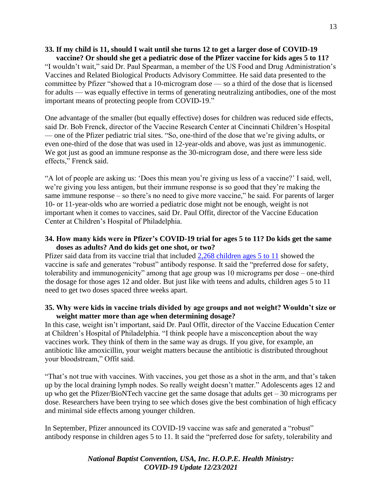#### **33. If my child is 11, should I wait until she turns 12 to get a larger dose of COVID-19 vaccine? Or should she get a pediatric dose of the Pfizer vaccine for kids ages 5 to 11?**

"I wouldn't wait," said Dr. Paul Spearman, a member of the US Food and Drug Administration's Vaccines and Related Biological Products Advisory Committee. He said data presented to the committee by Pfizer "showed that a 10-microgram dose — so a third of the dose that is licensed for adults — was equally effective in terms of generating neutralizing antibodies, one of the most important means of protecting people from COVID-19."

One advantage of the smaller (but equally effective) doses for children was reduced side effects, said Dr. Bob Frenck, director of the Vaccine Research Center at Cincinnati Children's Hospital — one of the Pfizer pediatric trial sites. "So, one-third of the dose that we're giving adults, or even one-third of the dose that was used in 12-year-olds and above, was just as immunogenic. We got just as good an immune response as the 30-microgram dose, and there were less side effects," Frenck said.

"A lot of people are asking us: 'Does this mean you're giving us less of a vaccine?' I said, well, we're giving you less antigen, but their immune response is so good that they're making the same immune response – so there's no need to give more vaccine," he said. For parents of larger 10- or 11-year-olds who are worried a pediatric dose might not be enough, weight is not important when it comes to vaccines, said Dr. Paul Offit, director of the Vaccine Education Center at Children's Hospital of Philadelphia.

#### **34. How many kids were in Pfizer's COVID-19 trial for ages 5 to 11? Do kids get the same doses as adults? And do kids get one shot, or two?**

Pfizer said data from its vaccine trial that included [2,268 children ages 5 to 11](https://www.pfizer.com/news/press-release/press-release-detail/pfizer-and-biontech-announce-positive-topline-results) showed the vaccine is safe and generates "robust" antibody response. It said the "preferred dose for safety, tolerability and immunogenicity" among that age group was 10 micrograms per dose – one-third the dosage for those ages 12 and older. But just like with teens and adults, children ages 5 to 11 need to get two doses spaced three weeks apart.

#### **35. Why were kids in vaccine trials divided by age groups and not weight? Wouldn't size or weight matter more than age when determining dosage?**

In this case, weight isn't important, said Dr. Paul Offit, director of the Vaccine Education Center at Children's Hospital of Philadelphia. "I think people have a misconception about the way vaccines work. They think of them in the same way as drugs. If you give, for example, an antibiotic like amoxicillin, your weight matters because the antibiotic is distributed throughout your bloodstream," Offit said.

"That's not true with vaccines. With vaccines, you get those as a shot in the arm, and that's taken up by the local draining lymph nodes. So really weight doesn't matter." Adolescents ages 12 and up who get the Pfizer/BioNTech vaccine get the same dosage that adults get  $-30$  micrograms per dose. Researchers have been trying to see which doses give the best combination of high efficacy and minimal side effects among younger children.

In September, Pfizer announced its COVID-19 vaccine was safe and generated a "robust" antibody response in children ages 5 to 11. It said the "preferred dose for safety, tolerability and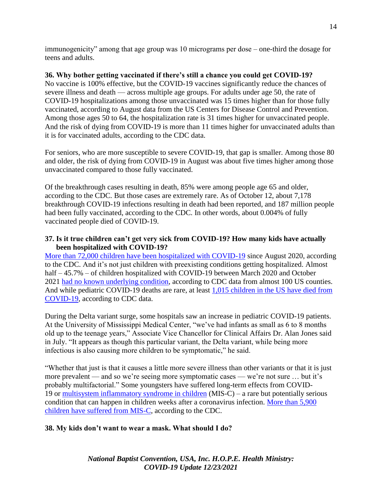immunogenicity" among that age group was 10 micrograms per dose – one-third the dosage for teens and adults.

**36. Why bother getting vaccinated if there's still a chance you could get COVID-19?**

No vaccine is 100% effective, but the COVID-19 vaccines significantly reduce the chances of severe illness and death — across multiple age groups. For adults under age 50, the rate of COVID-19 hospitalizations among those unvaccinated was 15 times higher than for those fully vaccinated, according to August data from the US Centers for Disease Control and Prevention. Among those ages 50 to 64, the hospitalization rate is 31 times higher for unvaccinated people. And the risk of dying from COVID-19 is more than 11 times higher for unvaccinated adults than it is for vaccinated adults, according to the CDC data.

For seniors, who are more susceptible to severe COVID-19, that gap is smaller. Among those 80 and older, the risk of dying from COVID-19 in August was about five times higher among those unvaccinated compared to those fully vaccinated.

Of the breakthrough cases resulting in death, 85% were among people age 65 and older, according to the CDC. But those cases are extremely rare. As of October 12, about 7,178 breakthrough COVID-19 infections resulting in death had been reported, and 187 million people had been fully vaccinated, according to the CDC. In other words, about 0.004% of fully vaccinated people died of COVID-19.

#### **37. Is it true children can't get very sick from COVID-19? How many kids have actually been hospitalized with COVID-19?**

[More than 72,000 children have been hospitalized with COVID-19](https://covid.cdc.gov/covid-data-tracker/#new-hospital-admissions) since August 2020, according to the CDC. And it's not just children with preexisting conditions getting hospitalized. Almost half – 45.7% – of children hospitalized with COVID-19 between March 2020 and October 2021 [had no known underlying condition,](https://gis.cdc.gov/grasp/covidnet/COVID19_5.html) according to CDC data from almost 100 US counties. And while pediatric COVID-19 deaths are rare, at least [1,015 children in the US have died from](https://covid.cdc.gov/covid-data-tracker/#demographics)  [COVID-19,](https://covid.cdc.gov/covid-data-tracker/#demographics) according to CDC data.

During the Delta variant surge, some hospitals saw an increase in pediatric COVID-19 patients. At the University of Mississippi Medical Center, "we've had infants as small as 6 to 8 months old up to the teenage years," Associate Vice Chancellor for Clinical Affairs Dr. Alan Jones said in July. "It appears as though this particular variant, the Delta variant, while being more infectious is also causing more children to be symptomatic," he said.

"Whether that just is that it causes a little more severe illness than other variants or that it is just more prevalent — and so we're seeing more symptomatic cases — we're not sure … but it's probably multifactorial." Some youngsters have suffered long-term effects from COVID-19 or [multisystem inflammatory syndrome in children](https://www.cdc.gov/mis-c/index.html) (MIS-C) – a rare but potentially serious condition that can happen in children weeks after a coronavirus infection. [More than 5,900](https://covid.cdc.gov/covid-data-tracker/#mis-national-surveillance)  [children have suffered from MIS-C,](https://covid.cdc.gov/covid-data-tracker/#mis-national-surveillance) according to the CDC.

#### **38. My kids don't want to wear a mask. What should I do?**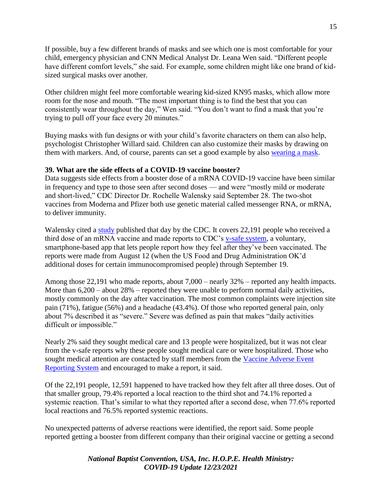If possible, buy a few different brands of masks and see which one is most comfortable for your child, emergency physician and CNN Medical Analyst Dr. Leana Wen said. "Different people have different comfort levels," she said. For example, some children might like one brand of kidsized surgical masks over another.

Other children might feel more comfortable wearing kid-sized KN95 masks, which allow more room for the nose and mouth. "The most important thing is to find the best that you can consistently wear throughout the day," Wen said. "You don't want to find a mask that you're trying to pull off your face every 20 minutes."

Buying masks with fun designs or with your child's favorite characters on them can also help, psychologist Christopher Willard said. Children can also customize their masks by drawing on them with markers. And, of course, parents can set a good example by also [wearing a mask.](https://www.cdc.gov/coronavirus/2019-ncov/prevent-getting-sick/diy-cloth-face-coverings.html)

#### **39. What are the side effects of a COVID-19 vaccine booster?**

Data suggests side effects from a booster dose of a mRNA COVID-19 vaccine have been similar in frequency and type to those seen after second doses — and were "mostly mild or moderate and short-lived," CDC Director Dr. Rochelle Walensky said September 28. The two-shot vaccines from Moderna and Pfizer both use genetic material called messenger RNA, or mRNA, to deliver immunity.

Walensky cited a [study](https://www.cdc.gov/mmwr/volumes/70/wr/mm7039e4.htm?s_cid=mm7039e4_w) published that day by the CDC. It covers 22,191 people who received a third dose of an mRNA vaccine and made reports to CDC's [v-safe system,](https://www.cdc.gov/coronavirus/2019-ncov/vaccines/safety/vsafe.html) a voluntary, smartphone-based app that lets people report how they feel after they've been vaccinated. The reports were made from August 12 (when the US Food and Drug Administration OK'd additional doses for certain immunocompromised people) through September 19.

Among those 22,191 who made reports, about 7,000 – nearly 32% – reported any health impacts. More than  $6,200$  – about  $28\%$  – reported they were unable to perform normal daily activities, mostly commonly on the day after vaccination. The most common complaints were injection site pain (71%), fatigue (56%) and a headache (43.4%). Of those who reported general pain, only about 7% described it as "severe." Severe was defined as pain that makes "daily activities difficult or impossible."

Nearly 2% said they sought medical care and 13 people were hospitalized, but it was not clear from the v-safe reports why these people sought medical care or were hospitalized. Those who sought medical attention are contacted by staff members from the [Vaccine Adverse Event](https://www.cdc.gov/vaccinesafety/ensuringsafety/monitoring/vaers/index.html)  [Reporting System](https://www.cdc.gov/vaccinesafety/ensuringsafety/monitoring/vaers/index.html) and encouraged to make a report, it said.

Of the 22,191 people, 12,591 happened to have tracked how they felt after all three doses. Out of that smaller group, 79.4% reported a local reaction to the third shot and 74.1% reported a systemic reaction. That's similar to what they reported after a second dose, when 77.6% reported local reactions and 76.5% reported systemic reactions.

No unexpected patterns of adverse reactions were identified, the report said. Some people reported getting a booster from different company than their original vaccine or getting a second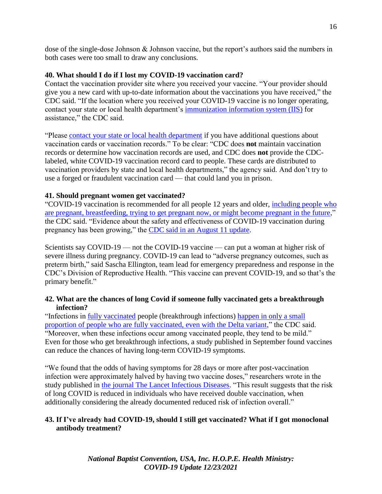dose of the single-dose Johnson & Johnson vaccine, but the report's authors said the numbers in both cases were too small to draw any conclusions.

#### **40. What should I do if I lost my COVID-19 vaccination card?**

Contact the vaccination provider site where you received your vaccine. "Your provider should give you a new card with up-to-date information about the vaccinations you have received," the CDC said. "If the location where you received your COVID-19 vaccine is no longer operating, contact your state or local health department's [immunization information system \(IIS\)](https://www.cdc.gov/vaccines/programs/iis/contacts-locate-records.html#state) for assistance," the CDC said.

"Please [contact your state or local health department](https://www.cdc.gov/coronavirus/2019-ncov/php/hd-search/index.html) if you have additional questions about vaccination cards or vaccination records." To be clear: "CDC does **not** maintain vaccination records or determine how vaccination records are used, and CDC does **not** provide the CDClabeled, white COVID-19 vaccination record card to people. These cards are distributed to vaccination providers by state and local health departments," the agency said. And don't try to use a forged or fraudulent vaccination card — that could land you in prison.

#### **41. Should pregnant women get vaccinated?**

"COVID-19 vaccination is recommended for all people 12 years and older, including people who [are pregnant, breastfeeding, trying to get pregnant now, or might become pregnant in the future,](https://www.cdc.gov/coronavirus/2019-ncov/need-extra-precautions/pregnant-people.html#:~:text=COVID%2D19%20vaccination%20is%20recommended,help%2C%20but%20is%20not%20required.)" the CDC said. "Evidence about the safety and effectiveness of COVID-19 vaccination during pregnancy has been growing," the [CDC said in an August 11 update.](https://www.cdc.gov/coronavirus/2019-ncov/vaccines/recommendations/pregnancy.html)

Scientists say COVID-19 — not the COVID-19 vaccine — can put a woman at higher risk of severe illness during pregnancy. COVID-19 can lead to "adverse pregnancy outcomes, such as preterm birth," said Sascha Ellington, team lead for emergency preparedness and response in the CDC's Division of Reproductive Health. "This vaccine can prevent COVID-19, and so that's the primary benefit."

#### **42. What are the chances of long Covid if someone fully vaccinated gets a breakthrough infection?**

"Infections in [fully vaccinated](https://www.cdc.gov/coronavirus/2019-ncov/vaccines/fully-vaccinated.html#vaccinated) people (breakthrough infections) [happen in only a small](https://www.cdc.gov/coronavirus/2019-ncov/vaccines/fully-vaccinated-guidance.html)  [proportion of people who are fully vaccinated, even with the Delta variant,](https://www.cdc.gov/coronavirus/2019-ncov/vaccines/fully-vaccinated-guidance.html)" the CDC said. "Moreover, when these infections occur among vaccinated people, they tend to be mild." Even for those who get breakthrough infections, a study published in September found vaccines can reduce the chances of having long-term COVID-19 symptoms.

"We found that the odds of having symptoms for 28 days or more after post-vaccination infection were approximately halved by having two vaccine doses," researchers wrote in the study published in [the journal The Lancet Infectious Diseases.](https://www.thelancet.com/journals/laninf/article/PIIS1473-3099(21)00460-6/fulltext?c) "This result suggests that the risk of long COVID is reduced in individuals who have received double vaccination, when additionally considering the already documented reduced risk of infection overall."

#### **43. If I've already had COVID-19, should I still get vaccinated? What if I got monoclonal antibody treatment?**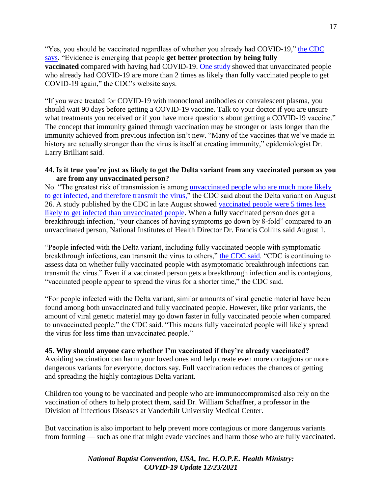"Yes, you should be vaccinated regardless of whether you already had COVID-19," [the CDC](https://www.cdc.gov/coronavirus/2019-ncov/vaccines/faq.html)  [says.](https://www.cdc.gov/coronavirus/2019-ncov/vaccines/faq.html) "Evidence is emerging that people **get better protection by being fully vaccinated** compared with having had COVID-19. [One study](https://www.cdc.gov/mmwr/volumes/70/wr/mm7032e1.htm?s_cid=mm7032e1_e&ACSTrackingID=USCDC_921-DM63289&ACSTrackingLabel=MMWR%20Early%20Release%20-%20Vol.%2070%2C%20August%206%2C%202021&deliveryName=USCDC_921-DM63289) showed that unvaccinated people who already had COVID-19 are more than 2 times as likely than fully vaccinated people to get COVID-19 again," the CDC's website says.

"If you were treated for COVID-19 with monoclonal antibodies or convalescent plasma, you should wait 90 days before getting a COVID-19 vaccine. Talk to your doctor if you are unsure what treatments you received or if you have more questions about getting a COVID-19 vaccine." The concept that immunity gained through vaccination may be stronger or lasts longer than the immunity achieved from previous infection isn't new. "Many of the vaccines that we've made in history are actually stronger than the virus is itself at creating immunity," epidemiologist Dr. Larry Brilliant said.

#### **44. Is it true you're just as likely to get the Delta variant from any vaccinated person as you are from any unvaccinated person?**

No. "The greatest risk of transmission is among [unvaccinated people who are much more likely](https://www.cdc.gov/coronavirus/2019-ncov/variants/delta-variant.html)  [to get infected, and therefore transmit the virus,"](https://www.cdc.gov/coronavirus/2019-ncov/variants/delta-variant.html) the CDC said about the Delta variant on August 26. A study published by the CDC in late August showed [vaccinated people were 5 times less](https://www.cdc.gov/mmwr/volumes/70/wr/mm7034e5.htm?s_cid=mm7034e5_w)  [likely to get infected than unvaccinated people.](https://www.cdc.gov/mmwr/volumes/70/wr/mm7034e5.htm?s_cid=mm7034e5_w) When a fully vaccinated person does get a breakthrough infection, "your chances of having symptoms go down by 8-fold" compared to an unvaccinated person, National Institutes of Health Director Dr. Francis Collins said August 1.

"People infected with the Delta variant, including fully vaccinated people with symptomatic breakthrough infections, can transmit the virus to others," [the CDC said.](https://www.cdc.gov/coronavirus/2019-ncov/variants/delta-variant.html) "CDC is continuing to assess data on whether fully vaccinated people with asymptomatic breakthrough infections can transmit the virus." Even if a vaccinated person gets a breakthrough infection and is contagious, "vaccinated people appear to spread the virus for a shorter time," the CDC said.

"For people infected with the Delta variant, similar amounts of viral genetic material have been found among both unvaccinated and fully vaccinated people. However, like prior variants, the amount of viral genetic material may go down faster in fully vaccinated people when compared to unvaccinated people," the CDC said. "This means fully vaccinated people will likely spread the virus for less time than unvaccinated people."

#### **45. Why should anyone care whether I'm vaccinated if they're already vaccinated?** Avoiding vaccination can harm your loved ones and help create even more contagious or more dangerous variants for everyone, doctors say. Full vaccination reduces the chances of getting and spreading the highly contagious Delta variant.

Children too young to be vaccinated and people who are immunocompromised also rely on the vaccination of others to help protect them, said Dr. William Schaffner, a professor in the Division of Infectious Diseases at Vanderbilt University Medical Center.

But vaccination is also important to help prevent more contagious or more dangerous variants from forming — such as one that might evade vaccines and harm those who are fully vaccinated.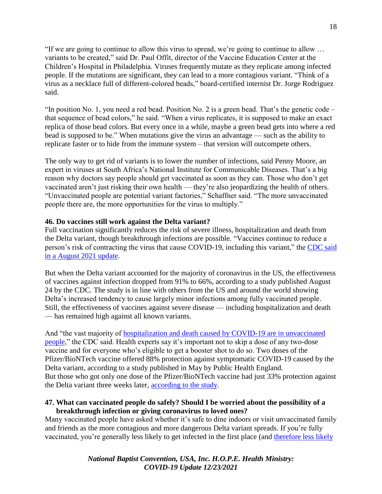"If we are going to continue to allow this virus to spread, we're going to continue to allow … variants to be created," said Dr. Paul Offit, director of the Vaccine Education Center at the Children's Hospital in Philadelphia. Viruses frequently mutate as they replicate among infected people. If the mutations are significant, they can lead to a more contagious variant. "Think of a virus as a necklace full of different-colored beads," board-certified internist Dr. Jorge Rodriguez said.

"In position No. 1, you need a red bead. Position No. 2 is a green bead. That's the genetic code – that sequence of bead colors," he said. "When a virus replicates, it is supposed to make an exact replica of those bead colors. But every once in a while, maybe a green bead gets into where a red bead is supposed to be." When mutations give the virus an advantage — such as the ability to replicate faster or to hide from the immune system – that version will outcompete others.

The only way to get rid of variants is to lower the number of infections, said Penny Moore, an expert in viruses at South Africa's National Institute for Communicable Diseases. That's a big reason why doctors say people should get vaccinated as soon as they can. Those who don't get vaccinated aren't just risking their own health — they're also jeopardizing the health of others. "Unvaccinated people are potential variant factories," Schaffner said. "The more unvaccinated people there are, the more opportunities for the virus to multiply."

#### **46. Do vaccines still work against the Delta variant?**

Full vaccination significantly reduces the risk of severe illness, hospitalization and death from the Delta variant, though breakthrough infections are possible. "Vaccines continue to reduce a person's risk of contracting the virus that cause COVID-19, including this variant," the [CDC said](https://www.cdc.gov/coronavirus/2019-ncov/variants/variant.html)  [in a August 2021 update.](https://www.cdc.gov/coronavirus/2019-ncov/variants/variant.html)

But when the Delta variant accounted for the majority of coronavirus in the US, the effectiveness of vaccines against infection dropped from 91% to 66%, according to a study published August 24 by the CDC. The study is in line with others from the US and around the world showing Delta's increased tendency to cause largely minor infections among fully vaccinated people. Still, the effectiveness of vaccines against severe disease — including hospitalization and death — has remained high against all known variants.

And "the vast majority of [hospitalization and death caused by COVID-19](https://www.cdc.gov/coronavirus/2019-ncov/variants/delta-variant.html) are in unvaccinated [people,](https://www.cdc.gov/coronavirus/2019-ncov/variants/delta-variant.html)" the CDC said. Health experts say it's important not to skip a dose of any two-dose vaccine and for everyone who's eligible to get a booster shot to do so. Two doses of the Pfizer/BioNTech vaccine offered 88% protection against symptomatic COVID-19 caused by the Delta variant, according to a study published in May by Public Health England. But those who got only one dose of the Pfizer/BioNTech vaccine had just 33% protection against the Delta variant three weeks later, [according to the study.](https://www.medrxiv.org/content/10.1101/2021.05.22.21257658v1)

#### **47. What can vaccinated people do safely? Should I be worried about the possibility of a breakthrough infection or giving coronavirus to loved ones?**

Many vaccinated people have asked whether it's safe to dine indoors or visit unvaccinated family and friends as the more contagious and more dangerous Delta variant spreads. If you're fully vaccinated, you're generally less likely to get infected in the first place (and [therefore less likely](https://www.cdc.gov/coronavirus/2019-ncov/variants/delta-variant.html)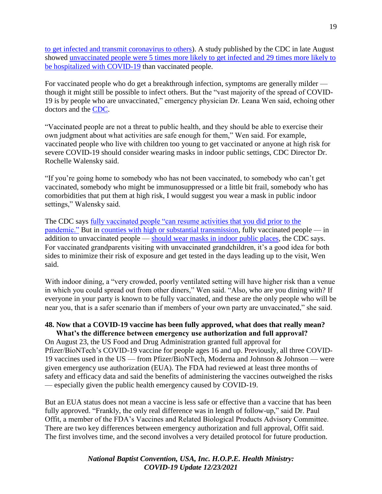[to get infected and transmit coronavirus to others\)](https://www.cdc.gov/coronavirus/2019-ncov/variants/delta-variant.html). A study published by the CDC in late August showed [unvaccinated people were 5 times more likely to get infected and 29 times more likely to](https://www.cdc.gov/mmwr/volumes/70/wr/mm7034e5.htm?s_cid=mm7034e5_w)  [be hospitalized with COVID-19](https://www.cdc.gov/mmwr/volumes/70/wr/mm7034e5.htm?s_cid=mm7034e5_w) than vaccinated people.

For vaccinated people who do get a breakthrough infection, symptoms are generally milder though it might still be possible to infect others. But the "vast majority of the spread of COVID-19 is by people who are unvaccinated," emergency physician Dr. Leana Wen said, echoing other doctors and the [CDC.](https://www.cdc.gov/coronavirus/2019-ncov/variants/delta-variant.html)

"Vaccinated people are not a threat to public health, and they should be able to exercise their own judgment about what activities are safe enough for them," Wen said. For example, vaccinated people who live with children too young to get vaccinated or anyone at high risk for severe COVID-19 should consider wearing masks in indoor public settings, CDC Director Dr. Rochelle Walensky said.

"If you're going home to somebody who has not been vaccinated, to somebody who can't get vaccinated, somebody who might be immunosuppressed or a little bit frail, somebody who has comorbidities that put them at high risk, I would suggest you wear a mask in public indoor settings," Walensky said.

The CDC says [fully vaccinated people "can resume activities that you did prior to the](https://www.cdc.gov/coronavirus/2019-ncov/vaccines/fully-vaccinated.html)  [pandemic."](https://www.cdc.gov/coronavirus/2019-ncov/vaccines/fully-vaccinated.html) But in [counties with high or substantial transmission,](https://covid.cdc.gov/covid-data-tracker/#county-view) fully vaccinated people — in addition to unvaccinated people — [should wear masks in indoor public places,](https://www.cdc.gov/coronavirus/2019-ncov/vaccines/fully-vaccinated.html) the CDC says. For vaccinated grandparents visiting with unvaccinated grandchildren, it's a good idea for both sides to minimize their risk of exposure and get tested in the days leading up to the visit, Wen said.

With indoor dining, a "very crowded, poorly ventilated setting will have higher risk than a venue in which you could spread out from other diners," Wen said. "Also, who are you dining with? If everyone in your party is known to be fully vaccinated, and these are the only people who will be near you, that is a safer scenario than if members of your own party are unvaccinated," she said.

#### **48. Now that a COVID-19 vaccine has been fully approved, what does that really mean? What's the difference between emergency use authorization and full approval?**

On August 23, the US Food and Drug Administration granted full approval for Pfizer/BioNTech's COVID-19 vaccine for people ages 16 and up. Previously, all three COVID-19 vaccines used in the US — from Pfizer/BioNTech, Moderna and Johnson & Johnson — were given emergency use authorization (EUA). The FDA had reviewed at least three months of safety and efficacy data and said the benefits of administering the vaccines outweighed the risks — especially given the public health emergency caused by COVID-19.

But an EUA status does not mean a vaccine is less safe or effective than a vaccine that has been fully approved. "Frankly, the only real difference was in length of follow-up," said Dr. Paul Offit, a member of the FDA's Vaccines and Related Biological Products Advisory Committee. There are two key differences between emergency authorization and full approval, Offit said. The first involves time, and the second involves a very detailed protocol for future production.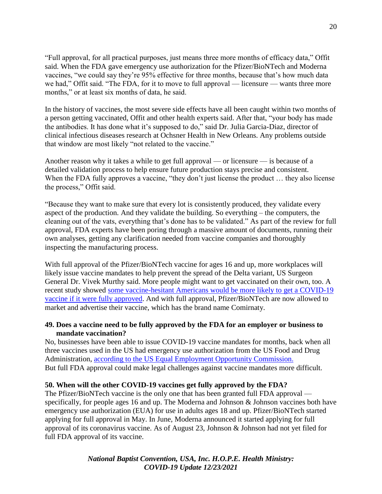"Full approval, for all practical purposes, just means three more months of efficacy data," Offit said. When the FDA gave emergency use authorization for the Pfizer/BioNTech and Moderna vaccines, "we could say they're 95% effective for three months, because that's how much data we had," Offit said. "The FDA, for it to move to full approval — licensure — wants three more months," or at least six months of data, he said.

In the history of vaccines, the most severe side effects have all been caught within two months of a person getting vaccinated, Offit and other health experts said. After that, "your body has made the antibodies. It has done what it's supposed to do," said Dr. Julia Garcia-Diaz, director of clinical infectious diseases research at Ochsner Health in New Orleans. Any problems outside that window are most likely "not related to the vaccine."

Another reason why it takes a while to get full approval — or licensure — is because of a detailed validation process to help ensure future production stays precise and consistent. When the FDA fully approves a vaccine, "they don't just license the product ... they also license the process," Offit said.

"Because they want to make sure that every lot is consistently produced, they validate every aspect of the production. And they validate the building. So everything – the computers, the cleaning out of the vats, everything that's done has to be validated." As part of the review for full approval, FDA experts have been poring through a massive amount of documents, running their own analyses, getting any clarification needed from vaccine companies and thoroughly inspecting the manufacturing process.

With full approval of the Pfizer/BioNTech vaccine for ages 16 and up, more workplaces will likely issue vaccine mandates to help prevent the spread of the Delta variant, US Surgeon General Dr. Vivek Murthy said. More people might want to get vaccinated on their own, too. A recent study showed [some vaccine-hesitant Americans would be more likely to get a COVID-19](https://www.kff.org/coronavirus-covid-19/poll-finding/kff-covid-19-vaccine-monitor-in-their-own-words-six-months-later/?utm_campaign=KFF-2021-polling-surveys&utm_medium=email&_hsmi=2&_hsenc=p2ANqtz-8yI04oX672NiBW6tsPNUaH4PcKREBEOkg7pLQKlJHv8EdXYakQQ3SdKG79UMgpbdlwTOcwdTiMBtMV9WSG5C8t9aS07w&utm_content=2&utm_source=hs_email) [vaccine if it were fully approved.](https://www.kff.org/coronavirus-covid-19/poll-finding/kff-covid-19-vaccine-monitor-in-their-own-words-six-months-later/?utm_campaign=KFF-2021-polling-surveys&utm_medium=email&_hsmi=2&_hsenc=p2ANqtz-8yI04oX672NiBW6tsPNUaH4PcKREBEOkg7pLQKlJHv8EdXYakQQ3SdKG79UMgpbdlwTOcwdTiMBtMV9WSG5C8t9aS07w&utm_content=2&utm_source=hs_email) And with full approval, Pfizer/BioNTech are now allowed to market and advertise their vaccine, which has the brand name Comirnaty.

#### **49. Does a vaccine need to be fully approved by the FDA for an employer or business to mandate vaccination?**

No, businesses have been able to issue COVID-19 vaccine mandates for months, back when all three vaccines used in the US had emergency use authorization from the US Food and Drug Administration, [according to the US Equal Employment Opportunity Commission.](https://www.eeoc.gov/newsroom/eeoc-issues-updated-covid-19-technical-assistance) But full FDA approval could make legal challenges against vaccine mandates more difficult.

#### **50. When will the other COVID-19 vaccines get fully approved by the FDA?**

The Pfizer/BioNTech vaccine is the only one that has been granted full FDA approval specifically, for people ages 16 and up. The Moderna and Johnson & Johnson vaccines both have emergency use authorization (EUA) for use in adults ages 18 and up. Pfizer/BioNTech started applying for full approval in May. In June, Moderna announced it started applying for full approval of its coronavirus vaccine. As of August 23, Johnson & Johnson had not yet filed for full FDA approval of its vaccine.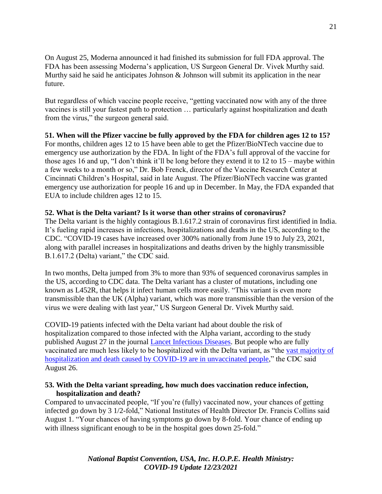On August 25, Moderna announced it had finished its submission for full FDA approval. The FDA has been assessing Moderna's application, US Surgeon General Dr. Vivek Murthy said. Murthy said he said he anticipates Johnson  $\&$  Johnson will submit its application in the near future.

But regardless of which vaccine people receive, "getting vaccinated now with any of the three vaccines is still your fastest path to protection … particularly against hospitalization and death from the virus," the surgeon general said.

**51. When will the Pfizer vaccine be fully approved by the FDA for children ages 12 to 15?** For months, children ages 12 to 15 have been able to get the Pfizer/BioNTech vaccine due to emergency use authorization by the FDA. In light of the FDA's full approval of the vaccine for those ages 16 and up, "I don't think it'll be long before they extend it to 12 to 15 – maybe within a few weeks to a month or so," Dr. Bob Frenck, director of the Vaccine Research Center at Cincinnati Children's Hospital, said in late August. The Pfizer/BioNTech vaccine was granted emergency use authorization for people 16 and up in December. In May, the FDA expanded that EUA to include children ages 12 to 15.

#### **52. What is the Delta variant? Is it worse than other strains of coronavirus?**

The Delta variant is the highly contagious B.1.617.2 strain of coronavirus first identified in India. It's fueling rapid increases in infections, hospitalizations and deaths in the US, according to the CDC. "COVID-19 cases have increased over 300% nationally from June 19 to July 23, 2021, along with parallel increases in hospitalizations and deaths driven by the highly transmissible B.1.617.2 (Delta) variant," the CDC said.

In two months, Delta jumped from 3% to more than 93% of sequenced coronavirus samples in the US, according to CDC data. The Delta variant has a cluster of mutations, including one known as L452R, that helps it infect human cells more easily. "This variant is even more transmissible than the UK (Alpha) variant, which was more transmissible than the version of the virus we were dealing with last year," US Surgeon General Dr. Vivek Murthy said.

COVID-19 patients infected with the Delta variant had about double the risk of hospitalization compared to those infected with the Alpha variant, according to the study published August 27 in the journal [Lancet Infectious Diseases.](https://www.thelancet.com/journals/laninf/article/PIIS1473-3099(21)00475-8/fulltext) But people who are fully vaccinated are much less likely to be hospitalized with the Delta variant, as "the [vast majority of](https://www.cdc.gov/coronavirus/2019-ncov/variants/delta-variant.html)  [hospitalization and death caused by COVID-19](https://www.cdc.gov/coronavirus/2019-ncov/variants/delta-variant.html) are in unvaccinated people," the CDC said August 26.

#### **53. With the Delta variant spreading, how much does vaccination reduce infection, hospitalization and death?**

Compared to unvaccinated people, "If you're (fully) vaccinated now, your chances of getting infected go down by 3 1/2-fold," National Institutes of Health Director Dr. Francis Collins said August 1. "Your chances of having symptoms go down by 8-fold. Your chance of ending up with illness significant enough to be in the hospital goes down 25-fold."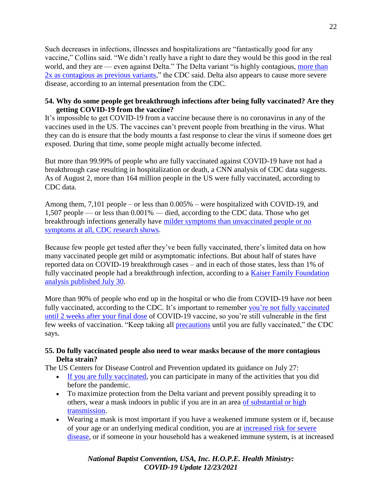Such decreases in infections, illnesses and hospitalizations are "fantastically good for any vaccine," Collins said. "We didn't really have a right to dare they would be this good in the real world, and they are — even against Delta." The Delta variant "is highly contagious, more than [2x as contagious as previous variants,](https://www.cdc.gov/coronavirus/2019-ncov/variants/delta-variant.html)" the CDC said. Delta also appears to cause more severe disease, according to an internal presentation from the CDC.

#### **54. Why do some people get breakthrough infections after being fully vaccinated? Are they getting COVID-19 from the vaccine?**

It's impossible to get COVID-19 from a vaccine because there is no coronavirus in any of the vaccines used in the US. The vaccines can't prevent people from breathing in the virus. What they can do is ensure that the body mounts a fast response to clear the virus if someone does get exposed. During that time, some people might actually become infected.

But more than 99.99% of people who are fully vaccinated against COVID-19 have not had a breakthrough case resulting in hospitalization or death, a CNN analysis of CDC data suggests. As of August 2, more than 164 million people in the US were fully vaccinated, according to CDC data.

Among them, 7,101 people – or less than 0.005% – were hospitalized with COVID-19, and 1,507 people — or less than 0.001% — died, according to the CDC data. Those who get breakthrough infections generally have [milder symptoms than unvaccinated people or no](https://www.cdc.gov/media/releases/2021/p0607-mrna-reduce-risks.html)  symptoms [at all, CDC research shows.](https://www.cdc.gov/media/releases/2021/p0607-mrna-reduce-risks.html)

Because few people get tested after they've been fully vaccinated, there's limited data on how many vaccinated people get mild or asymptomatic infections. But about half of states have reported data on COVID-19 breakthrough cases – and in each of those states, less than 1% of fully vaccinated people had a breakthrough infection, according to a [Kaiser Family Foundation](https://www.kff.org/policy-watch/covid-19-vaccine-breakthrough-cases-data-from-the-states/)  [analysis published July 30.](https://www.kff.org/policy-watch/covid-19-vaccine-breakthrough-cases-data-from-the-states/)

More than 90% of people who end up in the hospital or who die from COVID-19 have *not* been fully vaccinated, according to the CDC. It's important to remember you're not fully vaccinated [until 2 weeks after your final dose](https://www.cdc.gov/coronavirus/2019-ncov/vaccines/fully-vaccinated.html#vaccinated) of COVID-19 vaccine, so you're still vulnerable in the first few weeks of vaccination. "Keep taking all [precautions](https://www.cdc.gov/coronavirus/2019-ncov/prevent-getting-sick/prevention.html) until you are fully vaccinated," the CDC says.

#### **55. Do fully vaccinated people also need to wear masks because of the more contagious Delta strain?**

The US Centers for Disease Control and Prevention updated its guidance on July 27:

- [If you are fully vaccinated,](https://www.cdc.gov/coronavirus/2019-ncov/vaccines/fully-vaccinated.html#vaccinated) you can participate in many of the activities that you did before the pandemic.
- To maximize protection from the Delta variant and prevent possibly spreading it to others, wear a mask indoors in public if you are in an area [of substantial or high](https://covid.cdc.gov/covid-data-tracker/#county-view)  [transmission.](https://covid.cdc.gov/covid-data-tracker/#county-view)
- Wearing a mask is most important if you have a weakened immune system or if, because of your age or an underlying medical condition, you are at [increased risk for severe](https://www.cdc.gov/coronavirus/2019-ncov/need-extra-precautions/people-with-medical-conditions.html)  [disease,](https://www.cdc.gov/coronavirus/2019-ncov/need-extra-precautions/people-with-medical-conditions.html) or if someone in your household has a weakened immune system, is at increased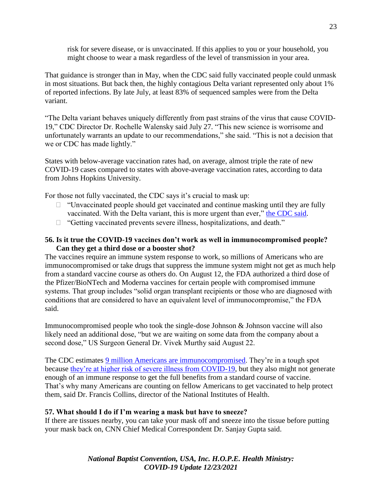risk for severe disease, or is unvaccinated. If this applies to you or your household, you might choose to wear a mask regardless of the level of transmission in your area.

That guidance is stronger than in May, when the CDC said fully vaccinated people could unmask in most situations. But back then, the highly contagious Delta variant represented only about 1% of reported infections. By late July, at least 83% of sequenced samples were from the Delta variant.

"The Delta variant behaves uniquely differently from past strains of the virus that cause COVID-19," CDC Director Dr. Rochelle Walensky said July 27. "This new science is worrisome and unfortunately warrants an update to our recommendations," she said. "This is not a decision that we or CDC has made lightly."

States with below-average vaccination rates had, on average, almost triple the rate of new COVID-19 cases compared to states with above-average vaccination rates, according to data from Johns Hopkins University.

For those not fully vaccinated, the CDC says it's crucial to mask up:

- $\Box$  "Unvaccinated people should get vaccinated and continue masking until they are fully vaccinated. With the Delta variant, this is more urgent than ever," [the CDC said.](https://www.cdc.gov/coronavirus/2019-ncov/prevent-getting-sick/prevention.html)
- $\Box$  "Getting vaccinated prevents severe illness, hospitalizations, and death."

#### **56. Is it true the COVID-19 vaccines don't work as well in immunocompromised people? Can they get a third dose or a booster shot?**

The vaccines require an immune system response to work, so millions of Americans who are immunocompromised or take drugs that suppress the immune system might not get as much help from a standard vaccine course as others do. On August 12, the FDA authorized a third dose of the Pfizer/BioNTech and Moderna vaccines for certain people with compromised immune systems. That group includes "solid organ transplant recipients or those who are diagnosed with conditions that are considered to have an equivalent level of immunocompromise," the FDA said.

Immunocompromised people who took the single-dose Johnson & Johnson vaccine will also likely need an additional dose, "but we are waiting on some data from the company about a second dose," US Surgeon General Dr. Vivek Murthy said August 22.

The CDC estimates [9 million Americans are immunocompromised.](https://www.cdc.gov/vaccines/acip/meetings/downloads/slides-2021-07/07-COVID-Oliver-508.pdf) They're in a tough spot because [they're at higher risk of severe illness from COVID-19,](https://www.cdc.gov/coronavirus/2019-ncov/need-extra-precautions/people-with-medical-conditions.html) but they also might not generate enough of an immune response to get the full benefits from a standard course of vaccine. That's why many Americans are counting on fellow Americans to get vaccinated to help protect them, said Dr. Francis Collins, director of the National Institutes of Health.

#### **57. What should I do if I'm wearing a mask but have to sneeze?**

If there are tissues nearby, you can take your mask off and sneeze into the tissue before putting your mask back on, CNN Chief Medical Correspondent Dr. Sanjay Gupta said.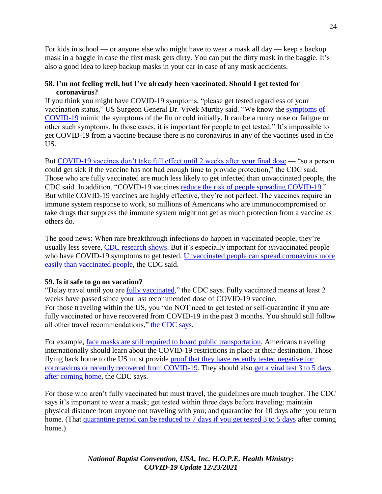For kids in school — or anyone else who might have to wear a mask all day — keep a backup mask in a baggie in case the first mask gets dirty. You can put the dirty mask in the baggie. It's also a good idea to keep backup masks in your car in case of any mask accidents.

#### **58. I'm not feeling well, but I've already been vaccinated. Should I get tested for coronavirus?**

If you think you might have COVID-19 symptoms, "please get tested regardless of your vaccination status," US Surgeon General Dr. Vivek Murthy said. "We know the [symptoms of](https://www.cdc.gov/coronavirus/2019-ncov/symptoms-testing/symptoms.html)  [COVID-19](https://www.cdc.gov/coronavirus/2019-ncov/symptoms-testing/symptoms.html) mimic the symptoms of the flu or cold initially. It can be a runny nose or fatigue or other such symptoms. In those cases, it is important for people to get tested." It's impossible to get COVID-19 from a vaccine because there is no coronavirus in any of the vaccines used in the US.

But COVID-19 [vaccines don't take full effect until 2 weeks after your final dose](https://www.cdc.gov/coronavirus/2019-ncov/vaccines/fully-vaccinated.html#vaccinated) — "so a person could get sick if the vaccine has not had enough time to provide protection," the CDC said. Those who are fully vaccinated are much less likely to get infected than unvaccinated people, the CDC said. In addition, "COVID-19 vaccines [reduce the risk of people spreading COVID-19.](https://www.cdc.gov/coronavirus/2019-ncov/vaccines/fully-vaccinated.html#vaccinated)" But while COVID-19 vaccines are highly effective, they're not perfect. The vaccines require an immune system response to work, so millions of Americans who are immunocompromised or take drugs that suppress the immune system might not get as much protection from a vaccine as others do.

The good news: When rare breakthrough infections do happen in vaccinated people, they're usually less severe, [CDC research shows.](https://www.cdc.gov/media/releases/2021/p0607-mrna-reduce-risks.html) But it's especially important for *un*vaccinated people who have COVID-19 symptoms to get tested. Unvaccinated people can spread coronavirus more [easily than vaccinated people,](https://www.cdc.gov/coronavirus/2019-ncov/vaccines/effectiveness/why-measure-effectiveness/breakthrough-cases.html) the CDC said.

#### **59. Is it safe to go on vacation?**

"Delay travel until you are *fully vaccinated*," the CDC says. Fully vaccinated means at least 2 weeks have passed since your last recommended dose of COVID-19 vaccine. For those traveling within the US, you "do NOT need to get tested or self-quarantine if you are fully vaccinated or have recovered from COVID-19 in the past 3 months. You should still follow all other travel recommendations," [the CDC says.](https://www.cdc.gov/coronavirus/2019-ncov/travelers/travel-during-covid19.html)

For example, [face masks are still required to board public transportation.](https://www.cdc.gov/quarantine/masks/mask-travel-guidance.html) Americans traveling internationally should learn about the COVID-19 restrictions in place at their destination. Those flying back home to the US must provide proof that [they have recently tested negative for](https://www.cdc.gov/coronavirus/2019-ncov/travelers/testing-international-air-travelers.html)  [coronavirus or recently recovered from COVID-19.](https://www.cdc.gov/coronavirus/2019-ncov/travelers/testing-international-air-travelers.html) They should also [get a viral test 3 to 5 days](https://www.cdc.gov/coronavirus/2019-ncov/testing/diagnostic-testing.html)  [after coming home,](https://www.cdc.gov/coronavirus/2019-ncov/testing/diagnostic-testing.html) the CDC says.

For those who aren't fully vaccinated but must travel, the guidelines are much tougher. The CDC says it's important to wear a mask; get tested within three days before traveling; maintain physical distance from anyone not traveling with you; and quarantine for 10 days after you return home. (That [quarantine period can be reduced to 7 days if you get tested 3 to 5 days](https://www.cdc.gov/coronavirus/2019-ncov/travelers/travel-during-covid19.html) after coming home.)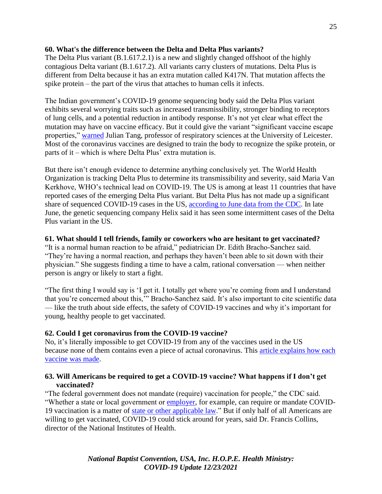#### **60. What's the difference between the Delta and Delta Plus variants?**

The Delta Plus variant (B.1.617.2.1) is a new and slightly changed offshoot of the highly contagious Delta variant (B.1.617.2). All variants carry clusters of mutations. Delta Plus is different from Delta because it has an extra mutation called K417N. That mutation affects the spike protein – the part of the virus that attaches to human cells it infects.

The Indian government's COVID-19 genome sequencing body said the Delta Plus variant exhibits several worrying traits such as increased transmissibility, stronger binding to receptors of lung cells, and a potential reduction in antibody response. It's not yet clear what effect the mutation may have on vaccine efficacy. But it could give the variant "significant vaccine escape properties," [warned](https://www.sciencemediacentre.org/expert-reaction-to-latest-figures-for-cases-of-variants-of-concern-vocs-and-under-investigation-vuis-and-technical-briefings-on-variants-of-concern/) Julian Tang, professor of respiratory sciences at the University of Leicester. Most of the coronavirus vaccines are designed to train the body to recognize the spike protein, or parts of it – which is where Delta Plus' extra mutation is.

But there isn't enough evidence to determine anything conclusively yet. The World Health Organization is tracking Delta Plus to determine its transmissibility and severity, said Maria Van Kerkhove, WHO's technical lead on COVID-19. The US is among at least 11 countries that have reported cases of the emerging Delta Plus variant. But Delta Plus has not made up a significant share of sequenced COVID-19 cases in the US, [according to June data from the CDC.](https://covid.cdc.gov/covid-data-tracker/#variant-proportions) In late June, the genetic sequencing company Helix said it has seen some intermittent cases of the Delta Plus variant in the US.

#### **61. What should I tell friends, family or coworkers who are hesitant to get vaccinated?**

"It is a normal human reaction to be afraid," pediatrician Dr. Edith Bracho-Sanchez said. "They're having a normal reaction, and perhaps they haven't been able to sit down with their physician." She suggests finding a time to have a calm, rational conversation — when neither person is angry or likely to start a fight.

"The first thing I would say is 'I get it. I totally get where you're coming from and I understand that you're concerned about this,'" Bracho-Sanchez said. It's also important to cite scientific data — like the truth about side effects, the safety of COVID-19 vaccines and why it's important for young, healthy people to get vaccinated.

#### **62. Could I get coronavirus from the COVID-19 vaccine?**

No, it's literally impossible to get COVID-19 from any of the vaccines used in the US because none of them contains even a piece of actual coronavirus. This [article explains how each](https://www.cnn.com/2021/02/03/health/how-covid-vaccines-work/index.html)  [vaccine was made.](https://www.cnn.com/2021/02/03/health/how-covid-vaccines-work/index.html)

#### **63. Will Americans be required to get a COVID-19 vaccine? What happens if I don't get vaccinated?**

"The federal government does not mandate (require) vaccination for people," the CDC said. "Whether a state or local government or [employer,](https://www.cdc.gov/coronavirus/2019-ncov/vaccines/recommendations/essentialworker.html#work) for example, can require or mandate COVID-19 vaccination is a matter of [state or other applicable law.](http://www.immunize.org/laws/)" But if only half of all Americans are willing to get vaccinated, COVID-19 could stick around for years, said Dr. Francis Collins, director of the National Institutes of Health.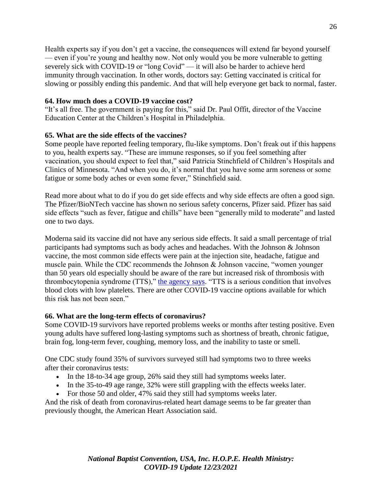Health experts say if you don't get a vaccine, the consequences will extend far beyond yourself — even if you're young and healthy now. Not only would you be more vulnerable to getting severely sick with COVID-19 or "long Covid" — it will also be harder to achieve herd immunity through vaccination. In other words, doctors say: Getting vaccinated is critical for slowing or possibly ending this pandemic. And that will help everyone get back to normal, faster.

#### **64. How much does a COVID-19 vaccine cost?**

"It's all free. The government is paying for this," said Dr. Paul Offit, director of the Vaccine Education Center at the Children's Hospital in Philadelphia.

#### **65. What are the side effects of the vaccines?**

Some people have reported feeling temporary, flu-like symptoms. Don't freak out if this happens to you, health experts say. "These are immune responses, so if you feel something after vaccination, you should expect to feel that," said Patricia Stinchfield of Children's Hospitals and Clinics of Minnesota. "And when you do, it's normal that you have some arm soreness or some fatigue or some body aches or even some fever," Stinchfield said.

Read more about what to do if you do get side effects and why side effects are often a good sign. The Pfizer/BioNTech vaccine has shown no serious safety concerns, Pfizer said. Pfizer has said side effects "such as fever, fatigue and chills" have been "generally mild to moderate" and lasted one to two days.

Moderna said its vaccine did not have any serious side effects. It said a small percentage of trial participants had symptoms such as body aches and headaches. With the Johnson & Johnson vaccine, the most common side effects were pain at the injection site, headache, fatigue and muscle pain. While the CDC recommends the Johnson  $\&$  Johnson vaccine, "women younger than 50 years old especially should be aware of the rare but increased risk of thrombosis with thrombocytopenia syndrome (TTS)," [the agency says.](https://www.cdc.gov/coronavirus/2019-ncov/vaccines/safety/JJUpdate.html?ACSTrackingID=USCDC_2067-DM55746&ACSTrackingLabel=What%20to%20Do%20If%20You%20Received%20the%20J%26J%2FJanssen%20COVID-19%20Vaccine%20%7C%20COVID-19&deliveryName=USCDC_2067-DM55746#symptoms-list) "TTS is a serious condition that involves blood clots with low platelets. There are other COVID-19 vaccine options available for which this risk has not been seen."

#### **66. What are the long-term effects of coronavirus?**

Some COVID-19 survivors have reported problems weeks or months after testing positive. Even young adults have suffered long-lasting symptoms such as shortness of breath, chronic fatigue, brain fog, long-term fever, coughing, memory loss, and the inability to taste or smell.

One CDC study found 35% of survivors surveyed still had symptoms two to three weeks after their coronavirus tests:

- In the 18-to-34 age group, 26% said they still had symptoms weeks later.
- In the 35-to-49 age range, 32% were still grappling with the effects weeks later.
- For those 50 and older, 47% said they still had symptoms weeks later.

And the risk of death from coronavirus-related heart damage seems to be far greater than previously thought, the American Heart Association said.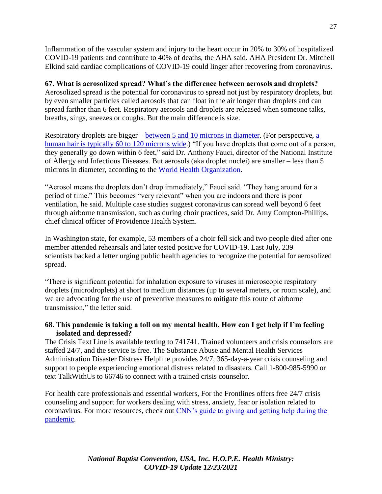Inflammation of the vascular system and injury to the heart occur in 20% to 30% of hospitalized COVID-19 patients and contribute to 40% of deaths, the AHA said. AHA President Dr. Mitchell Elkind said cardiac complications of COVID-19 could linger after recovering from coronavirus.

**67. What is aerosolized spread? What's the difference between aerosols and droplets?** Aerosolized spread is the potential for coronavirus to spread not just by respiratory droplets, but by even smaller particles called aerosols that can float in the air longer than droplets and can spread farther than 6 feet. Respiratory aerosols and droplets are released when someone talks, breaths, sings, sneezes or coughs. But the main difference is size.

Respiratory droplets are bigger – [between 5 and 10 microns in diameter.](https://www.who.int/news-room/commentaries/detail/transmission-of-sars-cov-2-implications-for-infection-prevention-precautions) (For perspective, [a](https://www-ssrl.slac.stanford.edu/content/sites/default/files/documents/nano-lab-safety.pdf)  [human hair is typically 60 to 120 microns wide.](https://www-ssrl.slac.stanford.edu/content/sites/default/files/documents/nano-lab-safety.pdf)) "If you have droplets that come out of a person, they generally go down within 6 feet," said Dr. Anthony Fauci, director of the National Institute of Allergy and Infectious Diseases. But aerosols (aka droplet nuclei) are smaller – less than 5 microns in diameter, according to the [World Health Organization.](https://www.who.int/news-room/commentaries/detail/transmission-of-sars-cov-2-implications-for-infection-prevention-precautions)

"Aerosol means the droplets don't drop immediately," Fauci said. "They hang around for a period of time." This becomes "very relevant" when you are indoors and there is poor ventilation, he said. Multiple case studies suggest coronavirus can spread well beyond 6 feet through airborne transmission, such as during choir practices, said Dr. Amy Compton-Phillips, chief clinical officer of Providence Health System.

In Washington state, for example, 53 members of a choir fell sick and two people died after one member attended rehearsals and later tested positive for COVID-19. Last July, 239 scientists backed a letter urging public health agencies to recognize the potential for aerosolized spread.

"There is significant potential for inhalation exposure to viruses in microscopic respiratory droplets (microdroplets) at short to medium distances (up to several meters, or room scale), and we are advocating for the use of preventive measures to mitigate this route of airborne transmission," the letter said.

#### **68. This pandemic is taking a toll on my mental health. How can I get help if I'm feeling isolated and depressed?**

The Crisis Text Line is available texting to 741741. Trained volunteers and crisis counselors are staffed 24/7, and the service is free. The Substance Abuse and Mental Health Services Administration Disaster Distress Helpline provides 24/7, 365-day-a-year crisis counseling and support to people experiencing emotional distress related to disasters. Call 1-800-985-5990 or text TalkWithUs to 66746 to connect with a trained crisis counselor.

For health care professionals and essential workers, For the Frontlines offers free 24/7 crisis counseling and support for workers dealing with stress, anxiety, fear or isolation related to coronavirus. For more resources, check out [CNN's guide to giving and getting help during the](https://www.cnn.com/interactive/2020/health/coronavirus-how-to-help/)  [pandemic.](https://www.cnn.com/interactive/2020/health/coronavirus-how-to-help/)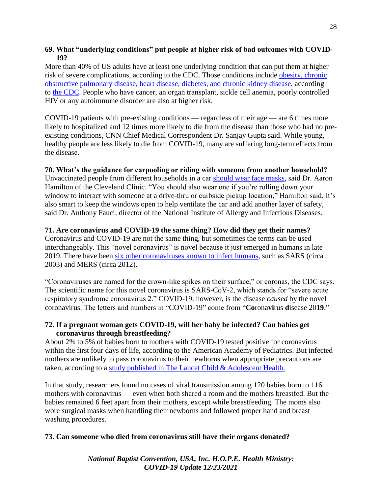#### **69. What "underlying conditions" put people at higher risk of bad outcomes with COVID-19?**

More than 40% of US adults have at least one underlying condition that can put them at higher risk of severe complications, according to the CDC. Those conditions include [obesity, chronic](https://www.cdc.gov/mmwr/volumes/69/wr/mm6929a1.htm?s_cid=mm6929a1_w)  [obstructive pulmonary disease, heart disease, diabetes, and chronic kidney disease,](https://www.cdc.gov/mmwr/volumes/69/wr/mm6929a1.htm?s_cid=mm6929a1_w) according to [the CDC.](https://www.cdc.gov/mmwr/volumes/69/wr/mm6929a1.htm?s_cid=mm6929a1_w) People who have cancer, an organ transplant, sickle cell anemia, poorly controlled HIV or any autoimmune disorder are also at higher risk.

COVID-19 patients with pre-existing conditions — regardless of their age — are 6 times more likely to hospitalized and 12 times more likely to die from the disease than those who had no preexisting conditions, CNN Chief Medical Correspondent Dr. Sanjay Gupta said. While young, healthy people are less likely to die from COVID-19, many are suffering long-term effects from the disease.

#### **70. What's the guidance for carpooling or riding with someone from another household?**

Unvaccinated people from different households in a car [should wear face masks,](https://health.clevelandclinic.org/should-i-wear-a-face-mask-in-the-car/) said Dr. Aaron Hamilton of the Cleveland Clinic. "You should also wear one if you're rolling down your window to interact with someone at a drive-thru or curbside pickup location," Hamilton said. It's also smart to keep the windows open to help ventilate the car and add another layer of safety, said Dr. Anthony Fauci, director of the National Institute of Allergy and Infectious Diseases.

#### **71. Are coronavirus and COVID-19 the same thing? How did they get their names?**

Coronavirus and COVID-19 are not the same thing, but sometimes the terms can be used interchangeably. This "novel coronavirus" is novel because it just emerged in humans in late 2019. There have been [six other coronaviruses known to infect humans,](https://www.cdc.gov/coronavirus/types.html) such as SARS (circa 2003) and MERS (circa 2012).

"Coronaviruses are named for the crown-like spikes on their surface," or coronas, the CDC says. The scientific name for this novel coronavirus is SARS-CoV-2, which stands for "severe acute respiratory syndrome coronavirus 2." COVID-19, however, is the disease *caused* by the novel coronavirus. The letters and numbers in "COVID-19" come from "**Co**rona**vi**rus **d**isease 20**19**."

#### **72. If a pregnant woman gets COVID-19, will her baby be infected? Can babies get coronavirus through breastfeeding?**

About 2% to 5% of babies born to mothers with COVID-19 tested positive for coronavirus within the first four days of life, according to the American Academy of Pediatrics. But infected mothers are unlikely to pass coronavirus to their newborns when appropriate precautions are taken, according to a [study published in The Lancet Child & Adolescent Health.](https://www.thelancet.com/journals/lanchi/article/PIIS2352-4642(20)30235-2/fulltext)

In that study, researchers found no cases of viral transmission among 120 babies born to 116 mothers with coronavirus — even when both shared a room and the mothers breastfed. But the babies remained 6 feet apart from their mothers, except while breastfeeding. The moms also wore surgical masks when handling their newborns and followed proper hand and breast washing procedures.

#### **73. Can someone who died from coronavirus still have their organs donated?**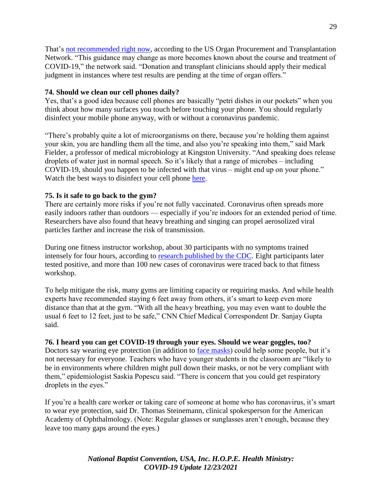That's [not recommended right now,](https://www.organdonor.gov/coronavirus-covid-19-frequently-asked-questions) according to the US Organ Procurement and Transplantation Network. "This guidance may change as more becomes known about the course and treatment of COVID-19," the network said. "Donation and transplant clinicians should apply their medical judgment in instances where test results are pending at the time of organ offers."

#### **74. Should we clean our cell phones daily?**

Yes, that's a good idea because cell phones are basically "petri dishes in our pockets" when you think about how many surfaces you touch before touching your phone. You should regularly disinfect your mobile phone anyway, with or without a coronavirus pandemic.

"There's probably quite a lot of microorganisms on there, because you're holding them against your skin, you are handling them all the time, and also you're speaking into them," said Mark Fielder, a professor of medical microbiology at Kingston University. "And speaking does release droplets of water just in normal speech. So it's likely that a range of microbes – including COVID-19, should you happen to be infected with that virus – might end up on your phone." Watch the best ways to disinfect your cell phone [here.](https://www.cnn.com/videos/world/2020/03/13/coronavirus-outbreak-pandemic-protect-hygiene-phones-gold-pkg-intl-ldn-vpx.cnn)

#### **75. Is it safe to go back to the gym?**

There are certainly more risks if you're not fully vaccinated. Coronavirus often spreads more easily indoors rather than outdoors — especially if you're indoors for an extended period of time. Researchers have also found that heavy breathing and singing can propel aerosolized viral particles farther and increase the risk of transmission.

During one fitness instructor workshop, about 30 participants with no symptoms trained intensely for four hours, according to [research published by the CDC.](https://wwwnc.cdc.gov/eid/article/26/8/20-0633_article#tnF1) Eight participants later tested positive, and more than 100 new cases of coronavirus were traced back to that fitness workshop.

To help mitigate the risk, many gyms are limiting capacity or requiring masks. And while health experts have recommended staying 6 feet away from others, it's smart to keep even more distance than that at the gym. "With all the heavy breathing, you may even want to double the usual 6 feet to 12 feet, just to be safe," CNN Chief Medical Correspondent Dr. Sanjay Gupta said.

#### **76. I heard you can get COVID-19 through your eyes. Should we wear goggles, too?**

Doctors say wearing eye protection (in addition to [face masks\)](https://www.cdc.gov/coronavirus/2019-ncov/prevent-getting-sick/about-face-coverings.html) could help some people, but it's not necessary for everyone. Teachers who have younger students in the classroom are "likely to be in environments where children might pull down their masks, or not be very compliant with them," epidemiologist Saskia Popescu said. "There is concern that you could get respiratory droplets in the eyes."

If you're a health care worker or taking care of someone at home who has coronavirus, it's smart to wear eye protection, said Dr. Thomas Steinemann, clinical spokesperson for the American Academy of Ophthalmology. (Note: Regular glasses or sunglasses aren't enough, because they leave too many gaps around the eyes.)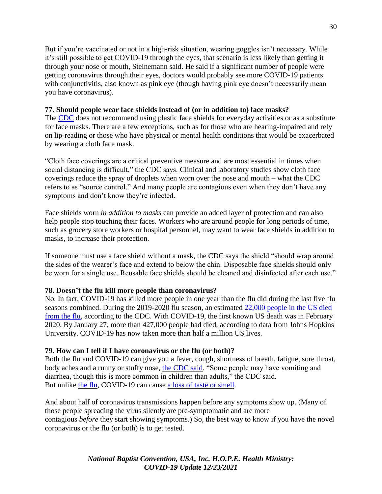But if you're vaccinated or not in a high-risk situation, wearing goggles isn't necessary. While it's still possible to get COVID-19 through the eyes, that scenario is less likely than getting it through your nose or mouth, Steinemann said. He said if a significant number of people were getting coronavirus through their eyes, doctors would probably see more COVID-19 patients with conjunctivitis, also known as pink eye (though having pink eye doesn't necessarily mean you have coronavirus).

#### **77. Should people wear face shields instead of (or in addition to) face masks?**

The [CDC](https://www.cdc.gov/coronavirus/2019-ncov/prevent-getting-sick/cloth-face-cover-guidance.html) does not recommend using plastic face shields for everyday activities or as a substitute for face masks. There are a few exceptions, such as for those who are hearing-impaired and rely on lip-reading or those who have physical or mental health conditions that would be exacerbated by wearing a cloth face mask.

"Cloth face coverings are a critical preventive measure and are most essential in times when social distancing is difficult," the CDC says. Clinical and laboratory studies show cloth face coverings reduce the spray of droplets when worn over the nose and mouth – what the CDC refers to as "source control." And many people are contagious even when they don't have any symptoms and don't know they're infected.

Face shields worn *in addition to masks* can provide an added layer of protection and can also help people stop touching their faces. Workers who are around people for long periods of time, such as grocery store workers or hospital personnel, may want to wear face shields in addition to masks, to increase their protection.

If someone must use a face shield without a mask, the CDC says the shield "should wrap around the sides of the wearer's face and extend to below the chin. Disposable face shields should only be worn for a single use. Reusable face shields should be cleaned and disinfected after each use."

#### **78. Doesn't the flu kill more people than coronavirus?**

No. In fact, COVID-19 has killed more people in one year than the flu did during the last five flu seasons combined. During the 2019-2020 flu season, an estimated [22,000 people in the US died](https://www.cdc.gov/flu/about/burden/2019-2020.html)  [from the flu,](https://www.cdc.gov/flu/about/burden/2019-2020.html) according to the CDC. With COVID-19, the first known US death was in February 2020. By January 27, more than 427,000 people had died, according to data from Johns Hopkins University. COVID-19 has now taken more than half a million US lives.

#### **79. How can I tell if I have coronavirus or the flu (or both)?**

Both the flu and COVID-19 can give you a fever, cough, shortness of breath, fatigue, sore throat, body aches and a runny or stuffy nose, [the CDC said.](https://www.cdc.gov/flu/symptoms/flu-vs-covid19.htm) "Some people may have vomiting and diarrhea, though this is more common in children than adults," the CDC said. But unlike [the flu,](https://www.cdc.gov/flu/about/keyfacts.htm) COVID-19 can cause [a loss of taste or smell.](https://www.cdc.gov/coronavirus/2019-ncov/symptoms-testing/symptoms.html)

And about half of coronavirus transmissions happen before any symptoms show up. (Many of those people spreading the virus silently are pre-symptomatic and are more contagious *before* they start showing symptoms.) So, the best way to know if you have the novel coronavirus or the flu (or both) is to get tested.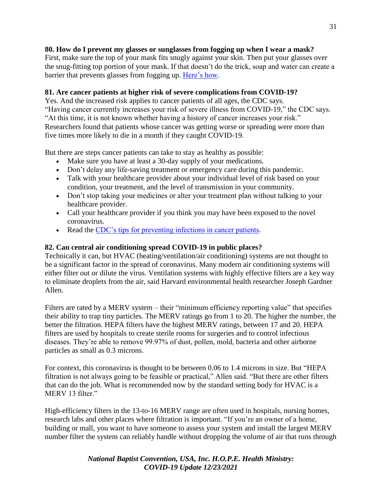#### **80. How do I prevent my glasses or sunglasses from fogging up when I wear a mask?**

First, make sure the top of your mask fits snugly against your skin. Then put your glasses over the snug-fitting top portion of your mask. If that doesn't do the trick, soap and water can create a barrier that prevents glasses from fogging up. [Here's how.](https://www.cnn.com/2020/05/05/health/how-to-de-fog-glasses-wearing-mask-wellness-trnd/index.html)

#### **81. Are cancer patients at higher risk of severe complications from COVID-19?**

Yes. And the increased risk applies to cancer patients of all ages, the CDC says. "Having cancer currently increases your risk of severe illness from COVID-19," the CDC says. "At this time, it is not known whether having a history of cancer increases your risk." Researchers found that patients whose cancer was getting worse or spreading were more than five times more likely to die in a month if they caught COVID-19.

But there are steps cancer patients can take to stay as healthy as possible:

- Make sure you have at least a 30-day supply of your medications.
- Don't delay any life-saving treatment or emergency care during this pandemic.
- Talk with your healthcare provider about your individual level of risk based on your condition, your treatment, and the level of transmission in your community.
- Don't stop taking your medicines or alter your treatment plan without talking to your healthcare provider.
- Call your healthcare provider if you think you may have been exposed to the novel coronavirus.
- Read the [CDC's tips for preventing infections in cancer patients.](https://www.cdc.gov/cancer/preventinfections/patients.htm)

#### **82. Can central air conditioning spread COVID-19 in public places?**

Technically it can, but HVAC (heating/ventilation/air conditioning) systems are not thought to be a significant factor in the spread of coronavirus. Many modern air conditioning systems will either filter out or dilute the virus. Ventilation systems with highly effective filters are a key way to eliminate droplets from the air, said Harvard environmental health researcher Joseph Gardner Allen.

Filters are rated by a MERV system – their "minimum efficiency reporting value" that specifies their ability to trap tiny particles. The MERV ratings go from 1 to 20. The higher the number, the better the filtration. HEPA filters have the highest MERV ratings, between 17 and 20. HEPA filters are used by hospitals to create sterile rooms for surgeries and to control infectious diseases. They're able to remove 99.97% of dust, pollen, mold, bacteria and other airborne particles as small as 0.3 microns.

For context, this coronavirus is thought to be between 0.06 to 1.4 microns in size. But "HEPA filtration is not always going to be feasible or practical," Allen said. "But there are other filters that can do the job. What is recommended now by the standard setting body for HVAC is a MERV 13 filter."

High-efficiency filters in the 13-to-16 MERV range are often used in hospitals, nursing homes, research labs and other places where filtration is important. "If you're an owner of a home, building or mall, you want to have someone to assess your system and install the largest MERV number filter the system can reliably handle without dropping the volume of air that runs through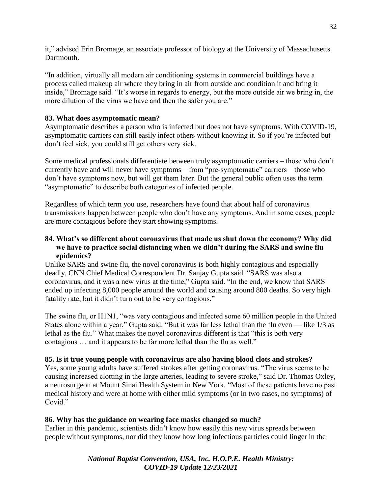it," advised Erin Bromage, an associate professor of biology at the University of Massachusetts Dartmouth.

"In addition, virtually all modern air conditioning systems in commercial buildings have a process called makeup air where they bring in air from outside and condition it and bring it inside," Bromage said. "It's worse in regards to energy, but the more outside air we bring in, the more dilution of the virus we have and then the safer you are."

#### **83. What does asymptomatic mean?**

Asymptomatic describes a person who is infected but does not have symptoms. With COVID-19, asymptomatic carriers can still easily infect others without knowing it. So if you're infected but don't feel sick, you could still get others very sick.

Some medical professionals differentiate between truly asymptomatic carriers – those who don't currently have and will never have symptoms – from "pre-symptomatic" carriers – those who don't have symptoms now, but will get them later. But the general public often uses the term "asymptomatic" to describe both categories of infected people.

Regardless of which term you use, researchers have found that about half of coronavirus transmissions happen between people who don't have any symptoms. And in some cases, people are more contagious before they start showing symptoms.

#### **84. What's so different about coronavirus that made us shut down the economy? Why did we have to practice social distancing when we didn't during the SARS and swine flu epidemics?**

Unlike SARS and swine flu, the novel coronavirus is both highly contagious and especially deadly, CNN Chief Medical Correspondent Dr. Sanjay Gupta said. "SARS was also a coronavirus, and it was a new virus at the time," Gupta said. "In the end, we know that SARS ended up infecting 8,000 people around the world and causing around 800 deaths. So very high fatality rate, but it didn't turn out to be very contagious."

The swine flu, or H1N1, "was very contagious and infected some 60 million people in the United States alone within a year," Gupta said. "But it was far less lethal than the flu even — like 1/3 as lethal as the flu." What makes the novel coronavirus different is that "this is both very contagious … and it appears to be far more lethal than the flu as well."

#### **85. Is it true young people with coronavirus are also having blood clots and strokes?**

Yes, some young adults have suffered strokes after getting coronavirus. "The virus seems to be causing increased clotting in the large arteries, leading to severe stroke," said Dr. Thomas Oxley, a neurosurgeon at Mount Sinai Health System in New York. "Most of these patients have no past medical history and were at home with either mild symptoms (or in two cases, no symptoms) of Covid."

#### **86. Why has the guidance on wearing face masks changed so much?**

Earlier in this pandemic, scientists didn't know how easily this new virus spreads between people without symptoms, nor did they know how long infectious particles could linger in the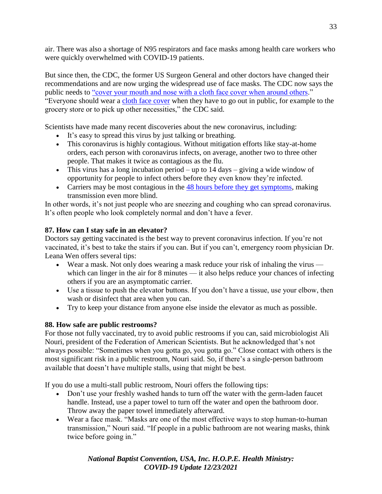air. There was also a shortage of N95 respirators and face masks among health care workers who were quickly overwhelmed with COVID-19 patients.

But since then, the CDC, the former US Surgeon General and other doctors have changed their recommendations and are now urging the widespread use of face masks. The CDC now says the public needs to ["cover your mouth and nose with a cloth face cover when around others.](https://www.cdc.gov/coronavirus/2019-ncov/prevent-getting-sick/prevention.html?CDC_AA_refVal=https%3A%2F%2Fwww.cdc.gov%2Fcoronavirus%2F2019-ncov%2Fprepare%2Fprevention.html)" "Everyone should wear a [cloth face cover](https://www.cdc.gov/coronavirus/2019-ncov/prevent-getting-sick/diy-cloth-face-coverings.html) when they have to go out in public, for example to the grocery store or to pick up other necessities," the CDC said.

Scientists have made many recent discoveries about the new coronavirus, including:

- It's easy to spread this virus by just talking or breathing.
- This coronavirus is highly contagious. Without mitigation efforts like stay-at-home orders, each person with coronavirus infects, on average, another two to three other people. That makes it twice as contagious as the flu.
- This virus has a long incubation period up to  $14 \text{ days}$  giving a wide window of opportunity for people to infect others before they even know they're infected.
- Carriers may be most contagious in the [48 hours before they get symptoms,](https://www.health.harvard.edu/diseases-and-conditions/if-youve-been-exposed-to-the-coronavirus) making transmission even more blind.

In other words, it's not just people who are sneezing and coughing who can spread coronavirus. It's often people who look completely normal and don't have a fever.

#### **87. How can I stay safe in an elevator?**

Doctors say getting vaccinated is the best way to prevent coronavirus infection. If you're not vaccinated, it's best to take the stairs if you can. But if you can't, emergency room physician Dr. Leana Wen offers several tips:

- Wear a mask. Not only does wearing a mask reduce your risk of inhaling the virus which can linger in the air for 8 minutes — it also helps reduce your chances of infecting others if you are an asymptomatic carrier.
- Use a tissue to push the elevator buttons. If you don't have a tissue, use your elbow, then wash or disinfect that area when you can.
- Try to keep your distance from anyone else inside the elevator as much as possible.

#### **88. How safe are public restrooms?**

For those not fully vaccinated, try to avoid public restrooms if you can, said microbiologist Ali Nouri, president of the Federation of American Scientists. But he acknowledged that's not always possible: "Sometimes when you gotta go, you gotta go." Close contact with others is the most significant risk in a public restroom, Nouri said. So, if there's a single-person bathroom available that doesn't have multiple stalls, using that might be best.

If you do use a multi-stall public restroom, Nouri offers the following tips:

- Don't use your freshly washed hands to turn off the water with the germ-laden faucet handle. Instead, use a paper towel to turn off the water and open the bathroom door. Throw away the paper towel immediately afterward.
- Wear a face mask. "Masks are one of the most effective ways to stop human-to-human transmission," Nouri said. "If people in a public bathroom are not wearing masks, think twice before going in."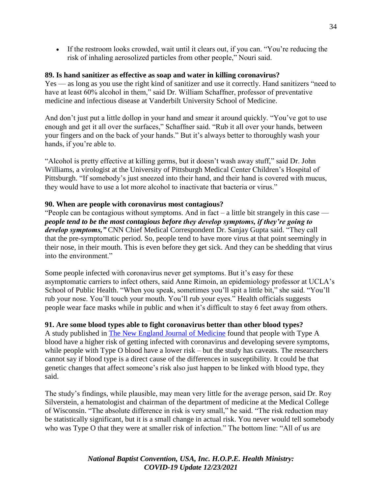If the restroom looks crowded, wait until it clears out, if you can. "You're reducing the risk of inhaling aerosolized particles from other people," Nouri said.

#### **89. Is hand sanitizer as effective as soap and water in killing coronavirus?**

Yes — as long as you use the right kind of sanitizer and use it correctly. Hand sanitizers "need to have at least 60% alcohol in them," said Dr. William Schaffner, professor of preventative medicine and infectious disease at Vanderbilt University School of Medicine.

And don't just put a little dollop in your hand and smear it around quickly. "You've got to use enough and get it all over the surfaces," Schaffner said. "Rub it all over your hands, between your fingers and on the back of your hands." But it's always better to thoroughly wash your hands, if you're able to.

"Alcohol is pretty effective at killing germs, but it doesn't wash away stuff," said Dr. John Williams, a virologist at the University of Pittsburgh Medical Center Children's Hospital of Pittsburgh. "If somebody's just sneezed into their hand, and their hand is covered with mucus, they would have to use a lot more alcohol to inactivate that bacteria or virus."

#### **90. When are people with coronavirus most contagious?**

"People can be contagious without symptoms. And in fact – a little bit strangely in this case *people tend to be the most contagious before they develop symptoms, if they're going to develop symptoms,"* CNN Chief Medical Correspondent Dr. Sanjay Gupta said. "They call that the pre-symptomatic period. So, people tend to have more virus at that point seemingly in their nose, in their mouth. This is even before they get sick. And they can be shedding that virus into the environment."

Some people infected with coronavirus never get symptoms. But it's easy for these asymptomatic carriers to infect others, said Anne Rimoin, an epidemiology professor at UCLA's School of Public Health. "When you speak, sometimes you'll spit a little bit," she said. "You'll rub your nose. You'll touch your mouth. You'll rub your eyes." Health officials suggests people wear face masks while in public and when it's difficult to stay 6 feet away from others.

#### **91. Are some blood types able to fight coronavirus better than other blood types?**

A study published in [The New England Journal of Medicine](https://www.nejm.org/doi/full/10.1056/NEJMoa2020283?query=featured_coronavirus) found that people with Type A blood have a higher risk of getting infected with coronavirus and developing severe symptoms, while people with Type O blood have a lower risk – but the study has caveats. The researchers cannot say if blood type is a direct cause of the differences in susceptibility. It could be that genetic changes that affect someone's risk also just happen to be linked with blood type, they said.

The study's findings, while plausible, may mean very little for the average person, said Dr. Roy Silverstein, a hematologist and chairman of the department of medicine at the Medical College of Wisconsin. "The absolute difference in risk is very small," he said. "The risk reduction may be statistically significant, but it is a small change in actual risk. You never would tell somebody who was Type O that they were at smaller risk of infection." The bottom line: "All of us are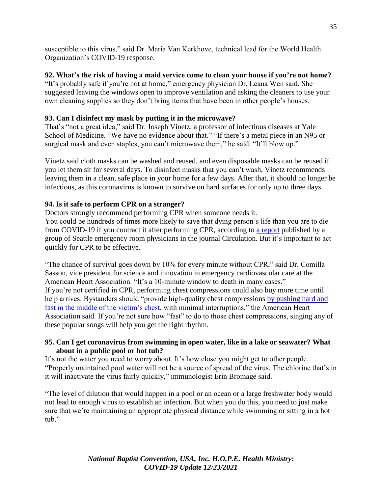susceptible to this virus," said Dr. Maria Van Kerkhove, technical lead for the World Health Organization's COVID-19 response.

## **92. What's the risk of having a maid service come to clean your house if you're not home?**

"It's probably safe if you're not at home," emergency physician Dr. Leana Wen said. She suggested leaving the windows open to improve ventilation and asking the cleaners to use your own cleaning supplies so they don't bring items that have been in other people's houses.

## **93. Can I disinfect my mask by putting it in the microwave?**

That's "not a great idea," said Dr. Joseph Vinetz, a professor of infectious diseases at Yale School of Medicine. "We have no evidence about that." "If there's a metal piece in an N95 or surgical mask and even staples, you can't microwave them," he said. "It'll blow up."

Vinetz said cloth masks can be washed and reused, and even disposable masks can be reused if you let them sit for several days. To disinfect masks that you can't wash, Vinetz recommends leaving them in a clean, safe place in your home for a few days. After that, it should no longer be infectious, as this coronavirus is known to survive on hard surfaces for only up to three days.

## **94. Is it safe to perform CPR on a stranger?**

Doctors strongly recommend performing CPR when someone needs it.

You could be hundreds of times more likely to save that dying person's life than you are to die from COVID-19 if you contract it after performing CPR, according to [a report](https://www.ahajournals.org/doi/pdf/10.1161/CIRCULATIONAHA.120.048951) published by a group of Seattle emergency room physicians in the journal Circulation. But it's important to act quickly for CPR to be effective.

"The chance of survival goes down by 10% for every minute without CPR," said Dr. Comilla Sasson, vice president for science and innovation in emergency cardiovascular care at the American Heart Association. "It's a 10-minute window to death in many cases." If you're not certified in CPR, performing chest compressions could also buy more time until help arrives. Bystanders should "provide high-quality chest compressions by pushing hard and [fast in the middle of the victim's chest,](https://www.ahajournals.org/doi/10.1161/CIRCULATIONAHA.107.189380) with minimal interruptions," the American Heart Association said. If you're not sure how "fast" to do to those chest compressions, singing any of these popular songs will help you get the right rhythm.

#### **95. Can I get coronavirus from swimming in open water, like in a lake or seawater? What about in a public pool or hot tub?**

It's not the water you need to worry about. It's how close you might get to other people. "Properly maintained pool water will not be a source of spread of the virus. The chlorine that's in it will inactivate the virus fairly quickly," immunologist Erin Bromage said.

"The level of dilution that would happen in a pool or an ocean or a large freshwater body would not lead to enough virus to establish an infection. But when you do this, you need to just make sure that we're maintaining an appropriate physical distance while swimming or sitting in a hot tub."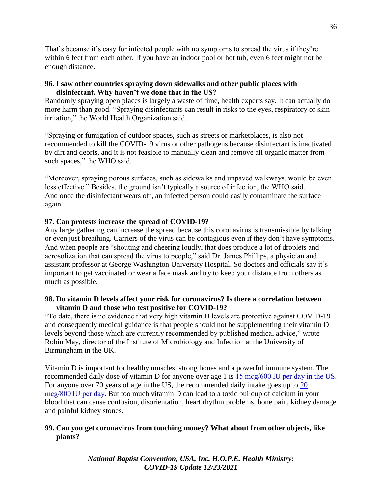That's because it's easy for infected people with no symptoms to spread the virus if they're within 6 feet from each other. If you have an indoor pool or hot tub, even 6 feet might not be enough distance.

#### **96. I saw other countries spraying down sidewalks and other public places with disinfectant. Why haven't we done that in the US?**

Randomly spraying open places is largely a waste of time, health experts say. It can actually do more harm than good. "Spraying disinfectants can result in risks to the eyes, respiratory or skin irritation," the World Health Organization said.

"Spraying or fumigation of outdoor spaces, such as streets or marketplaces, is also not recommended to kill the COVID-19 virus or other pathogens because disinfectant is inactivated by dirt and debris, and it is not feasible to manually clean and remove all organic matter from such spaces," the WHO said.

"Moreover, spraying porous surfaces, such as sidewalks and unpaved walkways, would be even less effective." Besides, the ground isn't typically a source of infection, the WHO said. And once the disinfectant wears off, an infected person could easily contaminate the surface again.

#### **97. Can protests increase the spread of COVID-19?**

Any large gathering can increase the spread because this coronavirus is transmissible by talking or even just breathing. Carriers of the virus can be contagious even if they don't have symptoms. And when people are "shouting and cheering loudly, that does produce a lot of droplets and aerosolization that can spread the virus to people," said Dr. James Phillips, a physician and assistant professor at George Washington University Hospital. So doctors and officials say it's important to get vaccinated or wear a face mask and try to keep your distance from others as much as possible.

#### **98. Do vitamin D levels affect your risk for coronavirus? Is there a correlation between vitamin D and those who test positive for COVID-19?**

"To date, there is no evidence that very high vitamin D levels are protective against COVID-19 and consequently medical guidance is that people should not be supplementing their vitamin D levels beyond those which are currently recommended by published medical advice," wrote Robin May, director of the Institute of Microbiology and Infection at the University of Birmingham in the UK.

Vitamin D is important for healthy muscles, strong bones and a powerful immune system. The recommended daily dose of vitamin D for anyone over age 1 is [15 mcg/600 IU per day in the US.](https://ods.od.nih.gov/factsheets/VitaminD-Consumer/) For anyone over 70 years of age in the US, the recommended daily intake goes up to [20](https://ods.od.nih.gov/factsheets/VitaminD-Consumer/)  [mcg/800 IU per day.](https://ods.od.nih.gov/factsheets/VitaminD-Consumer/) But too much vitamin D can lead to a toxic buildup of calcium in your blood that can cause confusion, disorientation, heart rhythm problems, bone pain, kidney damage and painful kidney stones.

#### **99. Can you get coronavirus from touching money? What about from other objects, like plants?**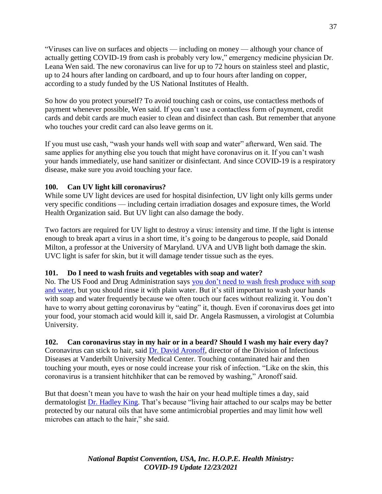"Viruses can live on surfaces and objects — including on money — although your chance of actually getting COVID-19 from cash is probably very low," emergency medicine physician Dr. Leana Wen said. The new coronavirus can live for up to 72 hours on stainless steel and plastic, up to 24 hours after landing on cardboard, and up to four hours after landing on copper, according to a study funded by the US National Institutes of Health.

So how do you protect yourself? To avoid touching cash or coins, use contactless methods of payment whenever possible, Wen said. If you can't use a contactless form of payment, credit cards and debit cards are much easier to clean and disinfect than cash. But remember that anyone who touches your credit card can also leave germs on it.

If you must use cash, "wash your hands well with soap and water" afterward, Wen said. The same applies for anything else you touch that might have coronavirus on it. If you can't wash your hands immediately, use hand sanitizer or disinfectant. And since COVID-19 is a respiratory disease, make sure you avoid touching your face.

#### **100. Can UV light kill coronavirus?**

While some UV light devices are used for hospital disinfection, UV light only kills germs under very specific conditions — including certain irradiation dosages and exposure times, the World Health Organization said. But UV light can also damage the body.

Two factors are required for UV light to destroy a virus: intensity and time. If the light is intense enough to break apart a virus in a short time, it's going to be dangerous to people, said Donald Milton, a professor at the University of Maryland. UVA and UVB light both damage the skin. UVC light is safer for skin, but it will damage tender tissue such as the eyes.

#### **101. Do I need to wash fruits and vegetables with soap and water?**

No. The US Food and Drug Administration says [you don't need to wash fresh produce with soap](https://www.fda.gov/consumers/consumer-updates/7-tips-cleaning-fruits-vegetables)  [and water,](https://www.fda.gov/consumers/consumer-updates/7-tips-cleaning-fruits-vegetables) but you should rinse it with plain water. But it's still important to wash your hands with soap and water frequently because we often touch our faces without realizing it. You don't have to worry about getting coronavirus by "eating" it, though. Even if coronavirus does get into your food, your stomach acid would kill it, said Dr. Angela Rasmussen, a virologist at Columbia University.

#### **102. Can coronavirus stay in my hair or in a beard? Should I wash my hair every day?**

Coronavirus can stick to hair, said [Dr. David Aronoff,](https://www.vumc.org/viiii/person/david-aronoff-md) director of the Division of Infectious Diseases at Vanderbilt University Medical Center. Touching contaminated hair and then touching your mouth, eyes or nose could increase your risk of infection. "Like on the skin, this coronavirus is a transient hitchhiker that can be removed by washing," Aronoff said.

But that doesn't mean you have to wash the hair on your head multiple times a day, said dermatologist [Dr. Hadley King.](https://www.drhadleyking.com/) That's because "living hair attached to our scalps may be better protected by our natural oils that have some antimicrobial properties and may limit how well microbes can attach to the hair," she said.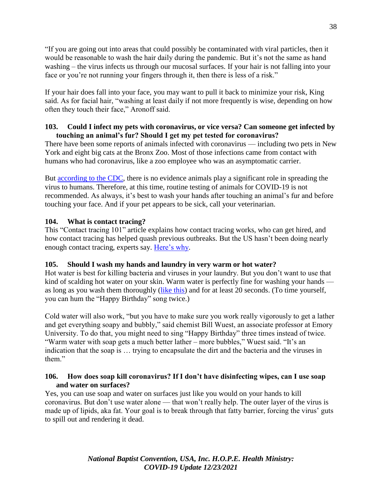"If you are going out into areas that could possibly be contaminated with viral particles, then it would be reasonable to wash the hair daily during the pandemic. But it's not the same as hand washing – the virus infects us through our mucosal surfaces. If your hair is not falling into your face or you're not running your fingers through it, then there is less of a risk."

If your hair does fall into your face, you may want to pull it back to minimize your risk, King said. As for facial hair, "washing at least daily if not more frequently is wise, depending on how often they touch their face," Aronoff said.

#### **103. Could I infect my pets with coronavirus, or vice versa? Can someone get infected by touching an animal's fur? Should I get my pet tested for coronavirus?**

There have been some reports of animals infected with coronavirus — including two pets in New York and eight big cats at the Bronx Zoo. Most of those infections came from contact with humans who had coronavirus, like a zoo employee who was an asymptomatic carrier.

But [according to the CDC,](https://www.cdc.gov/coronavirus/2019-ncov/faq.html/#animals) there is no evidence animals play a significant role in spreading the virus to humans. Therefore, at this time, routine testing of animals for COVID-19 is not recommended. As always, it's best to wash your hands after touching an animal's fur and before touching your face. And if your pet appears to be sick, call your veterinarian.

## **104. What is contact tracing?**

This "Contact tracing 101" article explains how contact tracing works, who can get hired, and how contact tracing has helped quash previous outbreaks. But the US hasn't been doing nearly enough contact tracing, experts say. [Here's why.](https://www.cnn.com/2020/10/08/health/contact-tracing-covid-19-white-house/index.html)

#### **105. Should I wash my hands and laundry in very warm or hot water?**

Hot water is best for killing bacteria and viruses in your laundry. But you don't want to use that kind of scalding hot water on your skin. Warm water is perfectly fine for washing your hands — as long as you wash them thoroughly [\(like this\)](https://www.cnn.com/videos/health/2020/03/27/how-to-wash-hands-gupta-vpx.cnn) and for at least 20 seconds. (To time yourself, you can hum the "Happy Birthday" song twice.)

Cold water will also work, "but you have to make sure you work really vigorously to get a lather and get everything soapy and bubbly," said chemist Bill Wuest, an associate professor at Emory University. To do that, you might need to sing "Happy Birthday" three times instead of twice. "Warm water with soap gets a much better lather – more bubbles," Wuest said. "It's an indication that the soap is … trying to encapsulate the dirt and the bacteria and the viruses in them."

#### **106. How does soap kill coronavirus? If I don't have disinfecting wipes, can I use soap and water on surfaces?**

Yes, you can use soap and water on surfaces just like you would on your hands to kill coronavirus. But don't use water alone — that won't really help. The outer layer of the virus is made up of lipids, aka fat. Your goal is to break through that fatty barrier, forcing the virus' guts to spill out and rendering it dead.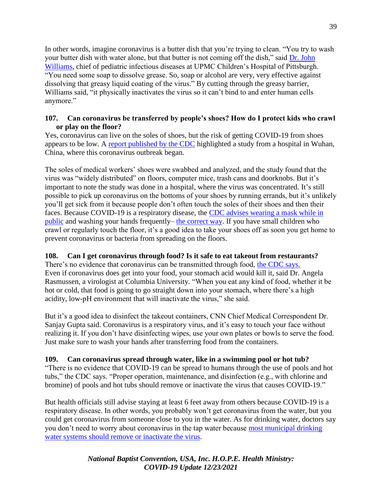In other words, imagine coronavirus is a butter dish that you're trying to clean. "You try to wash your butter dish with water alone, but that butter is not coming off the dish," said [Dr. John](https://www.chp.edu/find-a-doctor/service-providers/john-williams-206878)  [Williams,](https://www.chp.edu/find-a-doctor/service-providers/john-williams-206878) chief of pediatric infectious diseases at UPMC Children's Hospital of Pittsburgh. "You need some soap to dissolve grease. So, soap or alcohol are very, very effective against dissolving that greasy liquid coating of the virus." By cutting through the greasy barrier, Williams said, "it physically inactivates the virus so it can't bind to and enter human cells anymore."

#### **107. Can coronavirus be transferred by people's shoes? How do I protect kids who crawl or play on the floor?**

Yes, coronavirus can live on the soles of shoes, but the risk of getting COVID-19 from shoes appears to be low. A [report published by the CDC](https://wwwnc.cdc.gov/eid/article/26/7/20-0885_article) highlighted a study from a hospital in Wuhan, China, where this coronavirus outbreak began.

The soles of medical workers' shoes were swabbed and analyzed, and the study found that the virus was "widely distributed" on floors, computer mice, trash cans and doorknobs. But it's important to note the study was done in a hospital, where the virus was concentrated. It's still possible to pick up coronavirus on the bottoms of your shoes by running errands, but it's unlikely you'll get sick from it because people don't often touch the soles of their shoes and then their faces. Because COVID-19 is a respiratory disease, the [CDC advises wearing a mask while in](https://www.cdc.gov/coronavirus/2019-ncov/prevent-getting-sick/diy-cloth-face-coverings.html)  [public](https://www.cdc.gov/coronavirus/2019-ncov/prevent-getting-sick/diy-cloth-face-coverings.html) and washing your hands frequently– [the correct way.](https://www.cnn.com/videos/health/2020/03/27/how-to-wash-hands-gupta-vpx.cnn) If you have small children who crawl or regularly touch the floor, it's a good idea to take your shoes off as soon you get home to prevent coronavirus or bacteria from spreading on the floors.

## **108. Can I get coronavirus through food? Is it safe to eat takeout from restaurants?**

There's no evidence that coronavirus can be transmitted through food, [the CDC says.](https://www.cdc.gov/coronavirus/2019-ncov/faq.html) Even if coronavirus does get into your food, your stomach acid would kill it, said Dr. Angela Rasmussen, a virologist at Columbia University. "When you eat any kind of food, whether it be hot or cold, that food is going to go straight down into your stomach, where there's a high acidity, low-pH environment that will inactivate the virus," she said.

But it's a good idea to disinfect the takeout containers, CNN Chief Medical Correspondent Dr. Sanjay Gupta said. Coronavirus is a respiratory virus, and it's easy to touch your face without realizing it. If you don't have disinfecting wipes, use your own plates or bowls to serve the food. Just make sure to wash your hands after transferring food from the containers.

#### **109. Can coronavirus spread through water, like in a swimming pool or hot tub?**

"There is no evidence that COVID-19 can be spread to humans through the use of pools and hot tubs," the CDC says. "Proper operation, maintenance, and disinfection (e.g., with chlorine and bromine) of pools and hot tubs should remove or inactivate the virus that causes COVID-19."

But health officials still advise staying at least 6 feet away from others because COVID-19 is a respiratory disease. In other words, you probably won't get coronavirus from the water, but you could get coronavirus from someone close to you in the water. As for drinking water, doctors say you don't need to worry about coronavirus in the tap water because [most municipal drinking](https://www.cdc.gov/coronavirus/2019-ncov/php/water.html)  [water systems should remove or inactivate the virus.](https://www.cdc.gov/coronavirus/2019-ncov/php/water.html)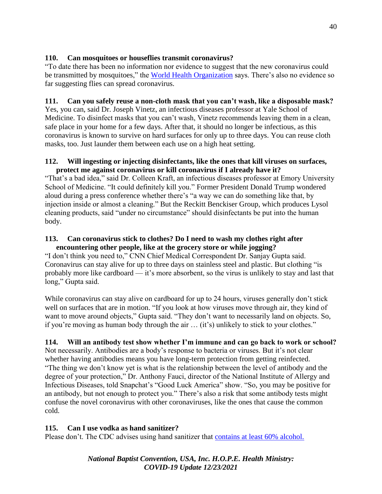## **110. Can mosquitoes or houseflies transmit coronavirus?**

"To date there has been no information nor evidence to suggest that the new coronavirus could be transmitted by mosquitoes," the [World Health Organization](https://www.who.int/emergencies/diseases/novel-coronavirus-2019/advice-for-public/myth-busters) says. There's also no evidence so far suggesting flies can spread coronavirus.

## **111. Can you safely reuse a non-cloth mask that you can't wash, like a disposable mask?**

Yes, you can, said Dr. Joseph Vinetz, an infectious diseases professor at Yale School of Medicine. To disinfect masks that you can't wash, Vinetz recommends leaving them in a clean, safe place in your home for a few days. After that, it should no longer be infectious, as this coronavirus is known to survive on hard surfaces for only up to three days. You can reuse cloth masks, too. Just launder them between each use on a high heat setting.

#### **112. Will ingesting or injecting disinfectants, like the ones that kill viruses on surfaces, protect me against coronavirus or kill coronavirus if I already have it?**

"That's a bad idea," said Dr. Colleen Kraft, an infectious diseases professor at Emory University School of Medicine. "It could definitely kill you." Former President Donald Trump wondered aloud during a press conference whether there's "a way we can do something like that, by injection inside or almost a cleaning." But the Reckitt Benckiser Group, which produces Lysol cleaning products, said "under no circumstance" should disinfectants be put into the human body.

## **113. Can coronavirus stick to clothes? Do I need to wash my clothes right after encountering other people, like at the grocery store or while jogging?**

"I don't think you need to," CNN Chief Medical Correspondent Dr. Sanjay Gupta said. Coronavirus can stay alive for up to three days on stainless steel and plastic. But clothing "is probably more like cardboard — it's more absorbent, so the virus is unlikely to stay and last that long," Gupta said.

While coronavirus can stay alive on cardboard for up to 24 hours, viruses generally don't stick well on surfaces that are in motion. "If you look at how viruses move through air, they kind of want to move around objects," Gupta said. "They don't want to necessarily land on objects. So, if you're moving as human body through the air … (it's) unlikely to stick to your clothes."

# **114. Will an antibody test show whether I'm immune and can go back to work or school?**

Not necessarily. Antibodies are a body's response to bacteria or viruses. But it's not clear whether having antibodies means you have long-term protection from getting reinfected. "The thing we don't know yet is what is the relationship between the level of antibody and the degree of your protection," Dr. Anthony Fauci, director of the National Institute of Allergy and Infectious Diseases, told Snapchat's "Good Luck America" show. "So, you may be positive for an antibody, but not enough to protect you." There's also a risk that some antibody tests might confuse the novel coronavirus with other coronaviruses, like the ones that cause the common cold.

## **115. Can I use vodka as hand sanitizer?**

Please don't. The CDC advises using hand sanitizer that [contains at least 60% alcohol.](https://www.cdc.gov/coronavirus/2019-ncov/prevent-getting-sick/prevention.html)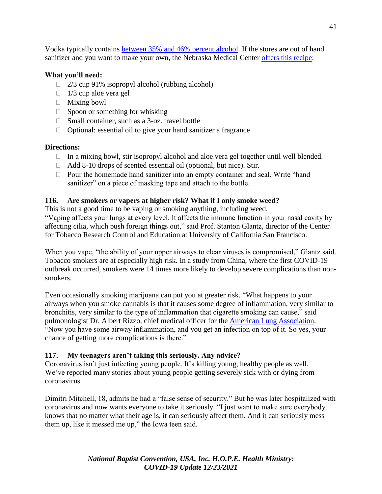Vodka typically contains [between 35% and 46% percent alcohol.](https://www.alcohol.org/statistics-information/abv/) If the stores are out of hand sanitizer and you want to make your own, the Nebraska Medical Center [offers this recipe:](https://www.youtube.com/watch?v=bUp-wnLT6ew)

#### **What you'll need:**

- $\Box$  2/3 cup 91% isopropyl alcohol (rubbing alcohol)
- $\Box$  1/3 cup aloe vera gel
- Mixing bowl
- $\Box$  Spoon or something for whisking
- $\Box$  Small container, such as a 3-oz. travel bottle
- $\Box$  Optional: essential oil to give your hand sanitizer a fragrance

#### **Directions:**

- $\Box$  In a mixing bowl, stir isopropyl alcohol and aloe vera gel together until well blended.
- $\Box$  Add 8-10 drops of scented essential oil (optional, but nice). Stir.
- $\Box$  Pour the homemade hand sanitizer into an empty container and seal. Write "hand" sanitizer" on a piece of masking tape and attach to the bottle.

#### **116. Are smokers or vapers at higher risk? What if I only smoke weed?**

This is not a good time to be vaping or smoking anything, including weed.

"Vaping affects your lungs at every level. It affects the immune function in your nasal cavity by affecting cilia, which push foreign things out," said Prof. Stanton Glantz, director of the Center for Tobacco Research Control and Education at University of California San Francisco.

When you vape, "the ability of your upper airways to clear viruses is compromised," Glantz said. Tobacco smokers are at especially high risk. In a study from China, where the first COVID-19 outbreak occurred, smokers were 14 times more likely to develop severe complications than nonsmokers.

Even occasionally smoking marijuana can put you at greater risk. "What happens to your airways when you smoke cannabis is that it causes some degree of inflammation, very similar to bronchitis, very similar to the type of inflammation that cigarette smoking can cause," said pulmonologist Dr. Albert Rizzo, chief medical officer for the [American Lung Association.](https://www.lung.org/media/meet-our-experts/al-rizzo) "Now you have some airway inflammation, and you get an infection on top of it. So yes, your chance of getting more complications is there."

#### **117. My teenagers aren't taking this seriously. Any advice?**

Coronavirus isn't just infecting young people. It's killing young, healthy people as well. We've reported many stories about young people getting severely sick with or dying from coronavirus.

Dimitri Mitchell, 18, admits he had a "false sense of security." But he was later hospitalized with coronavirus and now wants everyone to take it seriously. "I just want to make sure everybody knows that no matter what their age is, it can seriously affect them. And it can seriously mess them up, like it messed me up," the Iowa teen said.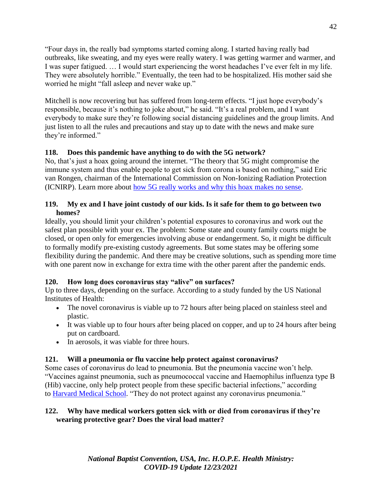"Four days in, the really bad symptoms started coming along. I started having really bad outbreaks, like sweating, and my eyes were really watery. I was getting warmer and warmer, and I was super fatigued. … I would start experiencing the worst headaches I've ever felt in my life. They were absolutely horrible." Eventually, the teen had to be hospitalized. His mother said she worried he might "fall asleep and never wake up."

Mitchell is now recovering but has suffered from long-term effects. "I just hope everybody's responsible, because it's nothing to joke about," he said. "It's a real problem, and I want everybody to make sure they're following social distancing guidelines and the group limits. And just listen to all the rules and precautions and stay up to date with the news and make sure they're informed."

## **118. Does this pandemic have anything to do with the 5G network?**

No, that's just a hoax going around the internet. "The theory that 5G might compromise the immune system and thus enable people to get sick from corona is based on nothing," said Eric van Rongen, chairman of the International Commission on Non-Ionizing Radiation Protection (ICNIRP). Learn more about [how 5G really works and why this hoax makes no sense.](https://www.cnn.com/2020/04/08/tech/5g-coronavirus-conspiracy-theory-trnd/index.html)

#### **119. My ex and I have joint custody of our kids. Is it safe for them to go between two homes?**

Ideally, you should limit your children's potential exposures to coronavirus and work out the safest plan possible with your ex. The problem: Some state and county family courts might be closed, or open only for emergencies involving abuse or endangerment. So, it might be difficult to formally modify pre-existing custody agreements. But some states may be offering some flexibility during the pandemic. And there may be creative solutions, such as spending more time with one parent now in exchange for extra time with the other parent after the pandemic ends.

# **120. How long does coronavirus stay "alive" on surfaces?**

Up to three days, depending on the surface. According to a study funded by the US National Institutes of Health:

- The novel coronavirus is viable up to 72 hours after being placed on stainless steel and plastic.
- It was viable up to four hours after being placed on copper, and up to 24 hours after being put on cardboard.
- In aerosols, it was viable for three hours.

## **121. Will a pneumonia or flu vaccine help protect against coronavirus?**

Some cases of coronavirus do lead to pneumonia. But the pneumonia vaccine won't help. "Vaccines against pneumonia, such as pneumococcal vaccine and Haemophilus influenza type B (Hib) vaccine, only help protect people from these specific bacterial infections," according to [Harvard Medical School.](https://www.health.harvard.edu/diseases-and-conditions/coronavirus-resource-center) "They do not protect against any coronavirus pneumonia."

## **122. Why have medical workers gotten sick with or died from coronavirus if they're wearing protective gear? Does the viral load matter?**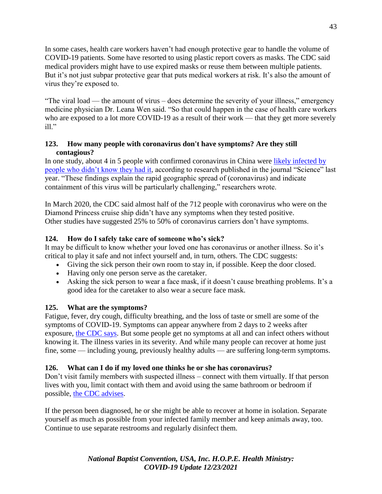In some cases, health care workers haven't had enough protective gear to handle the volume of COVID-19 patients. Some have resorted to using plastic report covers as masks. The CDC said medical providers might have to use expired masks or reuse them between multiple patients. But it's not just subpar protective gear that puts medical workers at risk. It's also the amount of virus they're exposed to.

"The viral load — the amount of virus – does determine the severity of your illness," emergency medicine physician Dr. Leana Wen said. "So that could happen in the case of health care workers who are exposed to a lot more COVID-19 as a result of their work — that they get more severely ill."

## **123. How many people with coronavirus don't have symptoms? Are they still contagious?**

In one study, about 4 in 5 people with confirmed coronavirus in China were [likely infected by](https://science.sciencemag.org/content/sci/early/2020/03/24/science.abb3221.full.pdf)  [people who didn't know they had it,](https://science.sciencemag.org/content/sci/early/2020/03/24/science.abb3221.full.pdf) according to research published in the journal "Science" last year. "These findings explain the rapid geographic spread of (coronavirus) and indicate containment of this virus will be particularly challenging," researchers wrote.

In March 2020, the CDC said almost half of the 712 people with coronavirus who were on the Diamond Princess cruise ship didn't have any symptoms when they tested positive. Other studies have suggested 25% to 50% of coronavirus carriers don't have symptoms.

## **124. How do I safely take care of someone who's sick?**

It may be difficult to know whether your loved one has coronavirus or another illness. So it's critical to play it safe and not infect yourself and, in turn, others. The CDC suggests:

- Giving the sick person their own room to stay in, if possible. Keep the door closed.
- Having only one person serve as the caretaker.
- Asking the sick person to wear a face mask, if it doesn't cause breathing problems. It's a good idea for the caretaker to also wear a secure face mask.

# **125. What are the symptoms?**

Fatigue, fever, dry cough, difficulty breathing, and the loss of taste or smell are some of the symptoms of COVID-19. Symptoms can appear anywhere from 2 days to 2 weeks after exposure, [the CDC says.](https://www.cdc.gov/coronavirus/2019-ncov/about/symptoms.html) But some people get no symptoms at all and can infect others without knowing it. The illness varies in its severity. And while many people can recover at home just fine, some — including young, previously healthy adults — are suffering long-term symptoms.

## **126. What can I do if my loved one thinks he or she has coronavirus?**

Don't visit family members with suspected illness – connect with them virtually. If that person lives with you, limit contact with them and avoid using the same bathroom or bedroom if possible, [the CDC advises.](https://www.cdc.gov/coronavirus/2019-ncov/community/home/faq.html)

If the person been diagnosed, he or she might be able to recover at home in isolation. Separate yourself as much as possible from your infected family member and keep animals away, too. Continue to use separate restrooms and regularly disinfect them.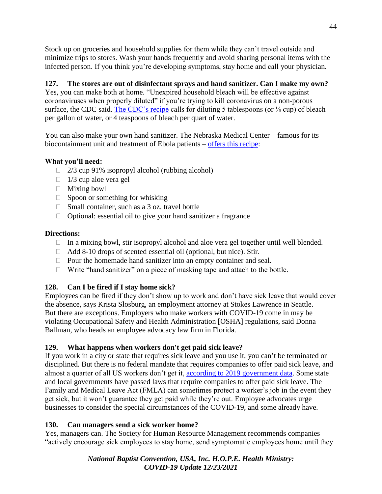Stock up on groceries and household supplies for them while they can't travel outside and minimize trips to stores. Wash your hands frequently and avoid sharing personal items with the infected person. If you think you're developing symptoms, stay home and call your physician.

## **127. The stores are out of disinfectant sprays and hand sanitizer. Can I make my own?**

Yes, you can make both at home. "Unexpired household bleach will be effective against coronaviruses when properly diluted" if you're trying to kill coronavirus on a non-porous surface, the CDC said. [The CDC's recipe](https://www.cdc.gov/coronavirus/2019-ncov/prepare/cleaning-disinfection.html?CDC_AA_refVal=https%3A%2F%2Fwww.cdc.gov%2Fcoronavirus%2F2019-ncov%2Fcommunity%2Fhome%2Fcleaning-disinfection.html#disinfect) calls for diluting 5 tablespoons (or ¼ cup) of bleach per gallon of water, or 4 teaspoons of bleach per quart of water.

You can also make your own hand sanitizer. The Nebraska Medical Center – famous for its biocontainment unit and treatment of Ebola patients – [offers this recipe:](https://www.youtube.com/watch?v=bUp-wnLT6ew)

## **What you'll need:**

- $\Box$  2/3 cup 91% isopropyl alcohol (rubbing alcohol)
- $\Box$  1/3 cup aloe vera gel
- $\Box$  Mixing bowl
- $\Box$  Spoon or something for whisking
- $\Box$  Small container, such as a 3 oz. travel bottle
- $\Box$  Optional: essential oil to give your hand sanitizer a fragrance

## **Directions:**

- $\Box$  In a mixing bowl, stir isopropyl alcohol and aloe vera gel together until well blended.
- $\Box$  Add 8-10 drops of scented essential oil (optional, but nice). Stir.
- $\Box$  Pour the homemade hand sanitizer into an empty container and seal.
- $\Box$  Write "hand sanitizer" on a piece of masking tape and attach to the bottle.

## **128. Can I be fired if I stay home sick?**

Employees can be fired if they don't show up to work and don't have sick leave that would cover the absence, says Krista Slosburg, an employment attorney at Stokes Lawrence in Seattle. But there are exceptions. Employers who make workers with COVID-19 come in may be violating Occupational Safety and Health Administration [OSHA] regulations, said Donna Ballman, who heads an employee advocacy law firm in Florida.

## **129. What happens when workers don't get paid sick leave?**

If you work in a city or state that requires sick leave and you use it, you can't be terminated or disciplined. But there is no federal mandate that requires companies to offer paid sick leave, and almost a quarter of all US workers don't get it, [according to 2019 government data.](https://www.bls.gov/ncs/ebs/benefits/2019/employee-benefits-in-the-united-states-march-2019.pdf#page=119) Some state and local governments have passed laws that require companies to offer paid sick leave. The Family and Medical Leave Act (FMLA) can sometimes protect a worker's job in the event they get sick, but it won't guarantee they get paid while they're out. Employee advocates urge businesses to consider the special circumstances of the COVID-19, and some already have.

## **130. Can managers send a sick worker home?**

Yes, managers can. The Society for Human Resource Management recommends companies "actively encourage sick employees to stay home, send symptomatic employees home until they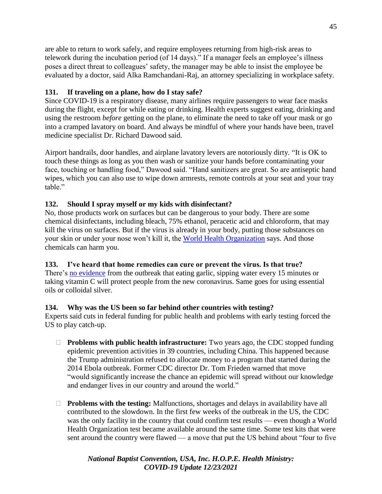are able to return to work safely, and require employees returning from high-risk areas to telework during the incubation period (of 14 days)." If a manager feels an employee's illness poses a direct threat to colleagues' safety, the manager may be able to insist the employee be evaluated by a doctor, said Alka Ramchandani-Raj, an attorney specializing in workplace safety.

## **131. If traveling on a plane, how do I stay safe?**

Since COVID-19 is a respiratory disease, many airlines require passengers to wear face masks during the flight, except for while eating or drinking. Health experts suggest eating, drinking and using the restroom *before* getting on the plane, to eliminate the need to take off your mask or go into a cramped lavatory on board. And always be mindful of where your hands have been, travel medicine specialist Dr. Richard Dawood said.

Airport handrails, door handles, and airplane lavatory levers are notoriously dirty. "It is OK to touch these things as long as you then wash or sanitize your hands before contaminating your face, touching or handling food," Dawood said. "Hand sanitizers are great. So are antiseptic hand wipes, which you can also use to wipe down armrests, remote controls at your seat and your tray table."

## **132. Should I spray myself or my kids with disinfectant?**

No, those products work on surfaces but can be dangerous to your body. There are some chemical disinfectants, including bleach, 75% ethanol, peracetic acid and chloroform, that may kill the virus on surfaces. But if the virus is already in your body, putting those substances on your skin or under your nose won't kill it, the [World Health Organization](https://www.who.int/emergencies/diseases/novel-coronavirus-2019/advice-for-public/myth-busters) says. And those chemicals can harm you.

#### **133. I've heard that home remedies can cure or prevent the virus. Is that true?**

There's [no evidence](https://www.who.int/emergencies/diseases/novel-coronavirus-2019/advice-for-public/myth-busters) from the outbreak that eating garlic, sipping water every 15 minutes or taking vitamin C will protect people from the new coronavirus. Same goes for using essential oils or colloidal silver.

#### **134. Why was the US been so far behind other countries with testing?**

Experts said cuts in federal funding for public health and problems with early testing forced the US to play catch-up.

- **Problems with public health infrastructure:** Two years ago, the CDC stopped funding epidemic prevention activities in 39 countries, including China. This happened because the Trump administration refused to allocate money to a program that started during the 2014 Ebola outbreak. Former CDC director Dr. Tom Frieden warned that move "would significantly increase the chance an epidemic will spread without our knowledge and endanger lives in our country and around the world."
- **Problems with the testing:** Malfunctions, shortages and delays in availability have all contributed to the slowdown. In the first few weeks of the outbreak in the US, the CDC was the only facility in the country that could confirm test results — even though a World Health Organization test became available around the same time. Some test kits that were sent around the country were flawed — a move that put the US behind about "four to five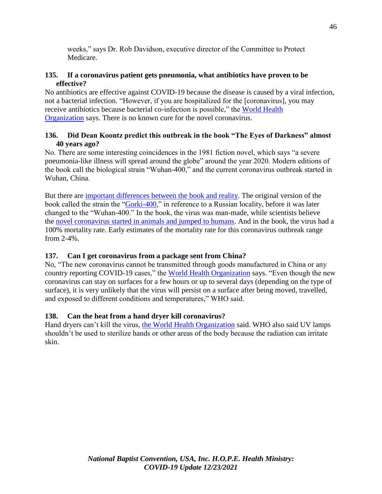weeks," says Dr. Rob Davidson, executive director of the Committee to Protect Medicare.

## **135. If a coronavirus patient gets pneumonia, what antibiotics have proven to be effective?**

No antibiotics are effective against COVID-19 because the disease is caused by a viral infection, not a bacterial infection. "However, if you are hospitalized for the [coronavirus], you may receive antibiotics because bacterial co-infection is possible," the [World Health](https://www.who.int/emergencies/diseases/novel-coronavirus-2019/advice-for-public/myth-busters)  [Organization](https://www.who.int/emergencies/diseases/novel-coronavirus-2019/advice-for-public/myth-busters) says. There is no known cure for the novel coronavirus.

## **136. Did Dean Koontz predict this outbreak in the book "The Eyes of Darkness" almost 40 years ago?**

No. There are some interesting coincidences in the 1981 fiction novel, which says "a severe pneumonia-like illness will spread around the globe" around the year 2020. Modern editions of the book call the biological strain "Wuhan-400," and the current coronavirus outbreak started in Wuhan, China.

But there are [important differences between the book and reality.](https://bit.ly/2Qv4O1y) The original version of the book called the strain the ["Gorki-400,](https://www.google.com/books/edition/The_Eyes_of_Darkness/U270yU756JoC?hl=en&gbpv=1&bsq=gorki-400)" in reference to a Russian locality, before it was later changed to the "Wuhan-400." In the book, the virus was man-made, while scientists believe the [novel coronavirus started in animals and jumped to humans.](https://www.who.int/docs/default-source/coronaviruse/situation-reports/20200221-sitrep-32-covid-19.pdf?sfvrsn=4802d089_2) And in the book, the virus had a 100% mortality rate. Early estimates of the mortality rate for this coronavirus outbreak range from 2-4%.

## **137. Can I get coronavirus from a package sent from China?**

No, "The new coronavirus cannot be transmitted through goods manufactured in China or any country reporting COVID-19 cases," the [World Health Organization](https://www.who.int/emergencies/diseases/novel-coronavirus-2019/advice-for-public/myth-busters) says. "Even though the new coronavirus can stay on surfaces for a few hours or up to several days (depending on the type of surface), it is very unlikely that the virus will persist on a surface after being moved, travelled, and exposed to different conditions and temperatures," WHO said.

# **138. Can the heat from a hand dryer kill coronavirus?**

Hand dryers can't kill the virus, [the World Health Organization](https://www.who.int/emergencies/diseases/novel-coronavirus-2019/advice-for-public/myth-busters#misinformation) said. WHO also said UV lamps shouldn't be used to sterilize hands or other areas of the body because the radiation can irritate skin.